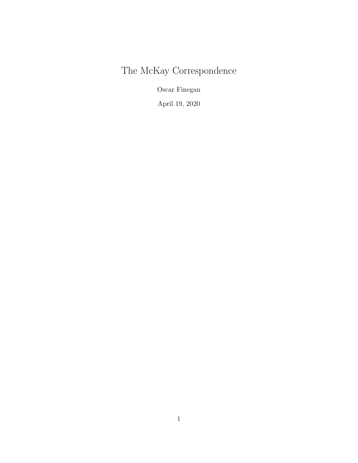# The McKay Correspondence

Oscar Finegan

April 19, 2020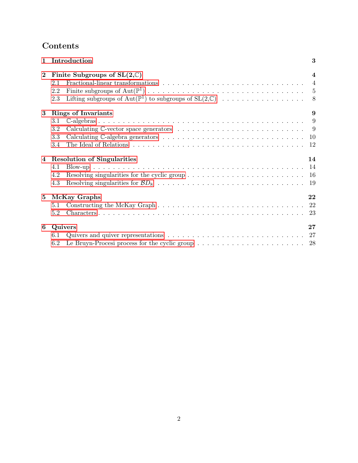# Contents

| $\mathbf{1}$ | Introduction                                                                                                             | 3              |
|--------------|--------------------------------------------------------------------------------------------------------------------------|----------------|
| $\bf{2}$     | Finite Subgroups of $SL(2,\mathbb{C})$                                                                                   | 4              |
|              | 2.1                                                                                                                      | $\overline{4}$ |
|              | 2.2                                                                                                                      |                |
|              | 2.3                                                                                                                      | - 8            |
| 3            | <b>Rings of Invariants</b>                                                                                               | 9              |
|              | 3.1                                                                                                                      |                |
|              | Calculating $\mathbb C$ -vector space generators $\ldots \ldots \ldots \ldots \ldots \ldots \ldots \ldots \ldots$<br>3.2 |                |
|              | 3.3                                                                                                                      | -10            |
|              | 3.4                                                                                                                      | 12             |
| 4            | <b>Resolution of Singularities</b>                                                                                       | 14             |
|              | 4.1                                                                                                                      | -14            |
|              | 4.2                                                                                                                      |                |
|              | 4.3                                                                                                                      |                |
| 5            | McKay Graphs                                                                                                             | 22             |
|              | 5.1                                                                                                                      |                |
|              | 5.2                                                                                                                      | 23             |
| 6            | Quivers                                                                                                                  | 27             |
|              | 6.1                                                                                                                      | 27             |
|              | Le Bruyn-Procesi process for the cyclic group $\dots \dots \dots \dots \dots \dots \dots \dots \dots \dots$ 28<br>6.2    |                |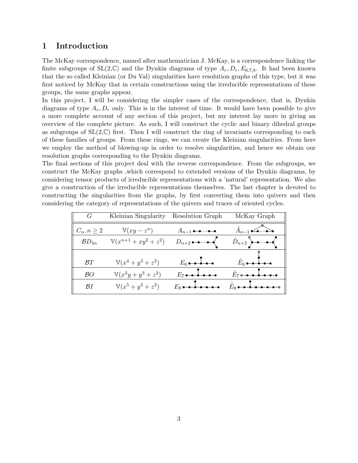## <span id="page-2-0"></span>1 Introduction

The McKay correspondence, named after mathematician J. McKay, is a correspondence linking the finite subgroups of  $SL(2,\mathbb{C})$  and the Dynkin diagrams of type  $A_r, D_r, E_{6,7,8}$ . It had been known that the so called Kleinian (or Du Val) singularities have resolution graphs of this type, but it was first noticed by McKay that in certain constructions using the irreducible representations of these groups, the same graphs appear.

In this project, I will be considering the simpler cases of the correspondence, that is, Dynkin diagrams of type  $A_r$ ,  $D_r$  only. This is in the interest of time. It would have been possible to give a more complete account of any section of this project, but my interest lay more in giving an overview of the complete picture. As such, I will construct the cyclic and binary dihedral groups as subgroups of  $SL(2,\mathbb{C})$  first. Then I will construct the ring of invariants corresponding to each of these families of groups. From these rings, we can create the Kleinian singularities. From here we employ the method of blowing-up in order to resolve singularities, and hence we obtain our resolution graphs corresponding to the Dynkin diagrams.

The final sections of this project deal with the reverse correspondence. From the subgroups, we construct the McKay graphs ,which correspond to extended versions of the Dynkin diagrams, by considering tensor products of irreducible representations with a 'natural' representation. We also give a construction of the irreducible representations themselves. The last chapter is devoted to constructing the singularities from the graphs, by first converting them into quivers and then considering the category of representations of the quivers and traces of oriented cycles.

| G               | Kleinian Singularity      | Resolution Graph                                              | McKay Graph                                                   |
|-----------------|---------------------------|---------------------------------------------------------------|---------------------------------------------------------------|
| $C_n, n \geq 2$ | $\mathbb{V}(xy-z^n)$      | $A_{n-1} \rightarrow - \rightarrow -$                         | $\tilde{A}_{n-1}$                                             |
| $BD_{4n}$       | $V(x^{n+1} + xy^2 + z^2)$ | $D_{n+2} \rightarrow \rightarrow \rightarrow$                 | $\tilde{D}_{n+2}$ $\rightarrow$ $\rightarrow$ $\leftarrow$    |
| BT              | $V(x^4 + y^3 + z^2)$      | $E_6 \bullet \bullet \bullet \bullet \bullet$                 | $\tilde{E}_6 \bullet \bullet \bullet \bullet \bullet \bullet$ |
| BО              | $V(x^3y + y^3 + z^2)$     | $E_7 \bullet \bullet \bullet \bullet \bullet \bullet$         | $\tilde{E}_7$ order to the set                                |
| BΙ              | $V(x^5 + y^3 + z^2)$      | $E_8 \bullet \bullet \bullet \bullet \bullet \bullet \bullet$ | $\tilde{E}_8$                                                 |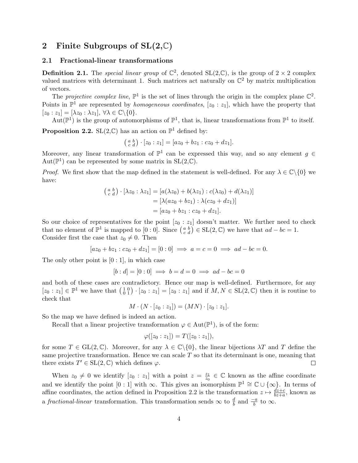# <span id="page-3-0"></span>2 Finite Subgroups of  $SL(2,\mathbb{C})$

#### <span id="page-3-1"></span>2.1 Fractional-linear transformations

**Definition 2.1.** The special linear group of  $\mathbb{C}^2$ , denoted  $SL(2,\mathbb{C})$ , is the group of  $2 \times 2$  complex valued matrices with determinant 1. Such matrices act naturally on  $\mathbb{C}^2$  by matrix multiplication of vectors.

The projective complex line,  $\mathbb{P}^1$  is the set of lines through the origin in the complex plane  $\mathbb{C}^2$ . Points in  $\mathbb{P}^1$  are represented by *homogeneous coordinates*, [ $z_0 : z_1$ ], which have the property that  $[z_0 : z_1] = [\lambda z_0 : \lambda z_1], \forall \lambda \in \mathbb{C} \backslash \{0\}.$ 

Aut $(\mathbb{P}^1)$  is the group of automorphisms of  $\mathbb{P}^1$ , that is, linear transformations from  $\mathbb{P}^1$  to itself. **Proposition 2.2.** SL $(2,\mathbb{C})$  has an action on  $\mathbb{P}^1$  defined by:

$$
\begin{pmatrix} a & b \\ c & d \end{pmatrix} \cdot [z_0 : z_1] = [az_0 + bz_1 : cz_0 + dz_1].
$$

Moreover, any linear transformation of  $\mathbb{P}^1$  can be expressed this way, and so any element  $g \in$ Aut $(\mathbb{P}^1)$  can be represented by some matrix in  $SL(2,\mathbb{C})$ .

*Proof.* We first show that the map defined in the statement is well-defined. For any  $\lambda \in \mathbb{C}\backslash\{0\}$  we have:

$$
\begin{aligned} \left(\begin{smallmatrix} a & b \\ c & d \end{smallmatrix}\right) \cdot \left[\lambda z_0 : \lambda z_1\right] &= \left[a(\lambda z_0) + b(\lambda z_1) : c(\lambda z_0) + d(\lambda z_1)\right] \\ &= \left[\lambda (az_0 + bz_1) : \lambda (cz_0 + dz_1)\right] \\ &= \left[az_0 + bz_1 : cz_0 + dz_1\right]. \end{aligned}
$$

So our choice of representatives for the point  $[z_0 : z_1]$  doesn't matter. We further need to check that no element of  $\mathbb{P}^1$  is mapped to  $[0:0]$ . Since  $\begin{pmatrix} a & b \\ c & d \end{pmatrix} \in SL(2,\mathbb{C})$  we have that  $ad - bc = 1$ . Consider first the case that  $z_0 \neq 0$ . Then

$$
[az_0 + bz_1 : cz_0 + dz_1] = [0 : 0] \implies a = c = 0 \implies ad - bc = 0.
$$

The only other point is  $[0:1]$ , in which case

$$
[b:d]=[0:0] \implies b=d=0 \implies ad-bc=0
$$

and both of these cases are contradictory. Hence our map is well-defined. Furthermore, for any  $[z_0 : z_1] \in \mathbb{P}^1$  we have that  $\begin{pmatrix} 1 & 0 \\ 0 & 1 \end{pmatrix} \cdot [z_0 : z_1] = [z_0 : z_1]$  and if  $M, N \in SL(2, \mathbb{C})$  then it is routine to check that

$$
M \cdot (N \cdot [z_0 : z_1]) = (MN) \cdot [z_0 : z_1].
$$

So the map we have defined is indeed an action.

Recall that a linear projective transformation  $\varphi \in Aut(\mathbb{P}^1)$ , is of the form:

$$
\varphi([z_0:z_1])=T([z_0:z_1]),
$$

for some  $T \in GL(2,\mathbb{C})$ . Moreover, for any  $\lambda \in \mathbb{C} \setminus \{0\}$ , the linear bijections  $\lambda T$  and T define the same projective transformation. Hence we can scale  $T$  so that its determinant is one, meaning that there exists  $T' \in SL(2, \mathbb{C})$  which defines  $\varphi$ .  $\Box$ 

When  $z_0 \neq 0$  we identify  $[z_0 : z_1]$  with a point  $z = \frac{z_1}{z_0}$  $\frac{z_1}{z_0} \in \mathbb{C}$  known as the affine coordinate and we identify the point  $[0:1]$  with  $\infty$ . This gives an isomorphism  $\mathbb{P}^1 \cong \mathbb{C} \cup \{\infty\}$ . In terms of affine coordinates, the action defined in Proposition 2.2 is the transformation  $z \mapsto \frac{dz+c}{bz+a}$ , known as a fractional-linear transformation. This transformation sends  $\infty$  to  $\frac{d}{b}$  and  $\frac{-a}{b}$  to  $\infty$ .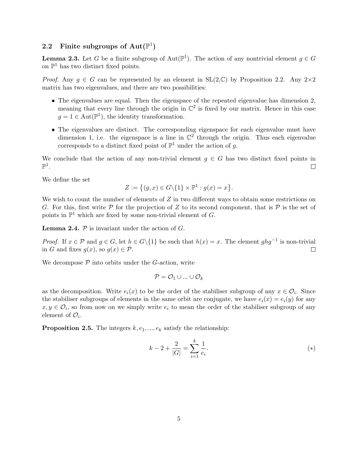# <span id="page-4-0"></span>2.2 Finite subgroups of  $\text{Aut}(\mathbb{P}^1)$

**Lemma 2.3.** Let G be a finite subgroup of  $Aut(\mathbb{P}^1)$ . The action of any nontrivial element  $g \in G$ on  $\mathbb{P}^1$  has two distinct fixed points.

*Proof.* Any  $g \in G$  can be represented by an element in  $SL(2,\mathbb{C})$  by Proposition 2.2. Any  $2\times 2$ matrix has two eigenvalues, and there are two possibilities:

- The eigenvalues are equal. Then the eigenspace of the repeated eigenvalue has dimension 2, meaning that every line through the origin in  $\mathbb{C}^2$  is fixed by our matrix. Hence in this case  $g = 1 \in Aut(\mathbb{P}^1)$ , the identity transformation.
- The eigenvalues are distinct. The corresponding eigenspace for each eigenvalue must have dimension 1, i.e. the eigenspace is a line in  $\mathbb{C}^2$  through the origin. Thus each eigenvalue corresponds to a distinct fixed point of  $\mathbb{P}^1$  under the action of g.

We conclude that the action of any non-trivial element  $g \in G$  has two distinct fixed points in  $\mathbb{P}^1$ .  $\Box$ 

We define the set

$$
Z := \{(g, x) \in G \setminus \{1\} \times \mathbb{P}^1 : g(x) = x\}.
$$

We wish to count the number of elements of  $Z$  in two different ways to obtain some restrictions on G. For this, first write  $P$  for the projection of Z to its second component, that is P is the set of points in  $\mathbb{P}^1$  which are fixed by some non-trivial element of G.

**Lemma 2.4.**  $P$  is invariant under the action of  $G$ .

*Proof.* If  $x \in \mathcal{P}$  and  $g \in G$ , let  $h \in G\backslash\{1\}$  be such that  $h(x) = x$ . The element  $ghg^{-1}$  is non-trivial in G and fixes  $g(x)$ , so  $g(x) \in \mathcal{P}$ .  $\Box$ 

We decompose  $P$  into orbits under the G-action, write

$$
\mathcal{P} = \mathcal{O}_1 \cup ... \cup \mathcal{O}_k
$$

as the decomposition. Write  $e_i(x)$  to be the order of the stabiliser subgroup of any  $x \in \mathcal{O}_i$ . Since the stabiliser subgroups of elements in the same orbit are conjugate, we have  $e_i(x) = e_i(y)$  for any  $x, y \in \mathcal{O}_i$ , so from now on we simply write  $e_i$  to mean the order of the stabiliser subgroup of any element of  $\mathcal{O}_i$ .

**Proposition 2.5.** The integers  $k, e_1, ..., e_k$  satisfy the relationship:

<span id="page-4-1"></span>
$$
k - 2 + \frac{2}{|G|} = \sum_{i=1}^{k} \frac{1}{e_i}.
$$
\n
$$
(*)
$$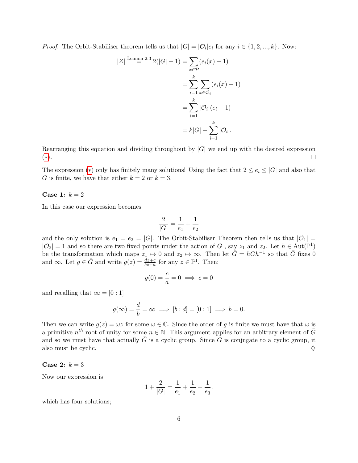*Proof.* The Orbit-Stabiliser theorem tells us that  $|G| = |\mathcal{O}_i|e_i$  for any  $i \in \{1, 2, ..., k\}$ . Now:

$$
|Z| \stackrel{\text{Lemma 2.3}}{=} 2(|G|-1) = \sum_{x \in \mathcal{P}} (e_i(x) - 1)
$$

$$
= \sum_{i=1}^k \sum_{x \in \mathcal{O}_i} (e_i(x) - 1)
$$

$$
= \sum_{i=1}^k |\mathcal{O}_i|(e_i - 1)
$$

$$
= k|G| - \sum_{i=1}^k |\mathcal{O}_i|.
$$

Rearranging this equation and dividing throughout by  $|G|$  we end up with the desired expression ([∗](#page-4-1)).  $\Box$ 

The expression (\*) only has finitely many solutions! Using the fact that  $2 \le e_i \le |G|$  and also that G is finite, we have that either  $k = 2$  or  $k = 3$ .

#### Case 1:  $k = 2$

In this case our expression becomes

$$
\frac{2}{|G|} = \frac{1}{e_1} + \frac{1}{e_2}
$$

and the only solution is  $e_1 = e_2 = |G|$ . The Orbit-Stabiliser Theorem then tells us that  $|O_1|$  =  $|\mathcal{O}_2|=1$  and so there are two fixed points under the action of G, say  $z_1$  and  $z_2$ . Let  $h \in \text{Aut}(\mathbb{P}^1)$ be the transformation which maps  $z_1 \mapsto 0$  and  $z_2 \mapsto \infty$ . Then let  $\bar{G} = hGh^{-1}$  so that  $\bar{G}$  fixes 0 and  $\infty$ . Let  $g \in \bar{G}$  and write  $g(z) = \frac{dz+c}{bz+a}$  for any  $z \in \mathbb{P}^1$ . Then:

$$
g(0) = \frac{c}{a} = 0 \implies c = 0
$$

and recalling that  $\infty = [0:1]$ 

$$
g(\infty) = \frac{d}{b} = \infty \implies [b:d] = [0:1] \implies b = 0.
$$

Then we can write  $g(z) = \omega z$  for some  $\omega \in \mathbb{C}$ . Since the order of g is finite we must have that  $\omega$  is a primitive  $n^{th}$  root of unity for some  $n \in \mathbb{N}$ . This argument applies for an arbitrary element of  $\bar{G}$ and so we must have that actually  $\bar{G}$  is a cyclic group. Since G is conjugate to a cyclic group, it also must be cyclic.  $\Diamond$ 

#### Case 2:  $k = 3$

Now our expression is

$$
1 + \frac{2}{|G|} = \frac{1}{e_1} + \frac{1}{e_2} + \frac{1}{e_3}.
$$

which has four solutions;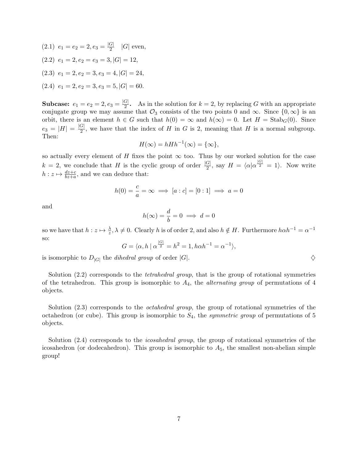$(2.1) \, e_1 = e_2 = 2, e_3 = \frac{|G|}{2}$  $\frac{G|}{2}$  |G| even,  $(2.2)$   $e_1 = 2, e_2 = e_3 = 3, |G| = 12,$  $(2.3)$   $e_1 = 2, e_2 = 3, e_3 = 4, |G| = 24,$  $(2.4)$   $e_1 = 2, e_2 = 3, e_3 = 5, |G| = 60.$ 

**Subcase:**  $e_1 = e_2 = 2, e_3 = \frac{|G|}{2}$  $\frac{G_1}{2}$ . As in the solution for  $k = 2$ , by replacing G with an appropriate conjugate group we may assume that  $\mathcal{O}_3$  consists of the two points 0 and  $\infty$ . Since  $\{0,\infty\}$  is an orbit, there is an element  $h \in G$  such that  $h(0) = \infty$  and  $h(\infty) = 0$ . Let  $H = \text{Stab}_G(0)$ . Since  $e_3 = |H| = \frac{|G|}{2}$  $\frac{G_1}{2}$ , we have that the index of H in G is 2, meaning that H is a normal subgroup. Then:

$$
H(\infty) = hHh^{-1}(\infty) = {\infty},
$$

so actually every element of H fixes the point  $\infty$  too. Thus by our worked solution for the case  $k = 2$ , we conclude that H is the cyclic group of order  $\frac{|G|}{2}$ , say  $H = \langle \alpha | \alpha^{\frac{|G|}{2}} = 1 \rangle$ . Now write  $h: z \mapsto \frac{dz+c}{bz+a}$ , and we can deduce that:

$$
h(0) = \frac{c}{a} = \infty \implies [a:c] = [0:1] \implies a = 0
$$

and

$$
h(\infty) = \frac{d}{b} = 0 \implies d = 0
$$

so we have that  $h: z \mapsto \frac{\lambda}{z}, \lambda \neq 0$ . Clearly h is of order 2, and also  $h \notin H$ . Furthermore  $h \alpha h^{-1} = \alpha^{-1}$ so:

$$
G = \langle \alpha, h \mid \alpha^{\frac{|G|}{2}} = h^2 = 1, h \alpha h^{-1} = \alpha^{-1} \rangle,
$$

is isomorphic to  $D_{|G|}$  the *dihedral group* of order  $|G|$ .

Solution (2.2) corresponds to the *tetrahedral group*, that is the group of rotational symmetries of the tetrahedron. This group is isomorphic to  $A_4$ , the *alternating group* of permutations of 4 objects.

Solution (2.3) corresponds to the *octahedral group*, the group of rotational symmetries of the octahedron (or cube). This group is isomorphic to  $S_4$ , the *symmetric group* of permutations of 5 objects.

Solution (2.4) corresponds to the *icosahedral group*, the group of rotational symmetries of the icosahedron (or dodecahedron). This group is isomorphic to  $A_5$ , the smallest non-abelian simple group!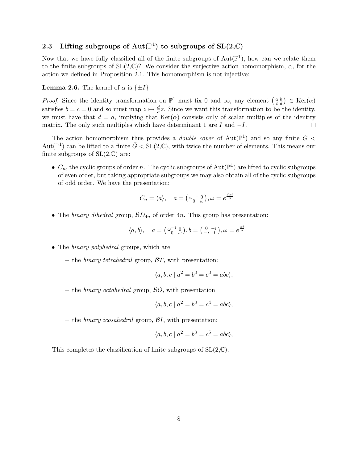# <span id="page-7-0"></span>2.3 Lifting subgroups of  $Aut(\mathbb{P}^1)$  to subgroups of  $SL(2,\mathbb{C})$

Now that we have fully classified all of the finite subgroups of  $Aut(\mathbb{P}^1)$ , how can we relate them to the finite subgroups of  $SL(2,\mathbb{C})$ ? We consider the surjective action homomorphism,  $\alpha$ , for the action we defined in Proposition 2.1. This homomorphism is not injective:

#### **Lemma 2.6.** The kernel of  $\alpha$  is  $\{\pm I\}$

*Proof.* Since the identity transformation on  $\mathbb{P}^1$  must fix 0 and  $\infty$ , any element  $\begin{pmatrix} a & b \\ c & d \end{pmatrix} \in \text{Ker}(\alpha)$ satisfies  $b = c = 0$  and so must map  $z \mapsto \frac{d}{dz}z$ . Since we want this transformation to be the identity, we must have that  $d = a$ , implying that  $Ker(\alpha)$  consists only of scalar multiples of the identity matrix. The only such multiples which have determinant 1 are  $I$  and  $-I$ .  $\Box$ 

The action homomorphism thus provides a *double cover* of  $Aut(\mathbb{P}^1)$  and so any finite  $G <$ Aut $(\mathbb{P}^1)$  can be lifted to a finite  $\bar{G} < SL(2,\mathbb{C})$ , with twice the number of elements. This means our finite subgroups of  $SL(2,\mathbb{C})$  are:

•  $C_n$ , the cyclic groups of order n. The cyclic subgroups of  $Aut(\mathbb{P}^1)$  are lifted to cyclic subgroups of even order, but taking appropriate subgroups we may also obtain all of the cyclic subgroups of odd order. We have the presentation:

$$
C_n = \langle a \rangle, \quad a = \left( \begin{smallmatrix} \omega^{-1} & 0 \\ 0 & \omega \end{smallmatrix} \right), \omega = e^{\frac{2\pi i}{n}}
$$

• The binary dihedral group,  $BD_{4n}$  of order 4n. This group has presentation:

$$
\langle a, b \rangle, \quad a = \left( \begin{smallmatrix} \omega^{-1} & 0 \\ 0 & \omega \end{smallmatrix} \right), b = \left( \begin{smallmatrix} 0 & -i \\ -i & 0 \end{smallmatrix} \right), \omega = e^{\frac{\pi i}{n}}
$$

- The *binary polyhedral* groups, which are
	- the *binary tetrahedral* group,  $BT$ , with presentation:

$$
\langle a, b, c \mid a^2 = b^3 = c^3 = abc \rangle,
$$

– the *binary octahedral* group,  $\beta O$ , with presentation:

$$
\langle a, b, c \mid a^2 = b^3 = c^4 = abc \rangle,
$$

– the *binary icosahedral* group,  $\mathcal{B}I$ , with presentation:

$$
\langle a, b, c \mid a^2 = b^3 = c^5 = abc \rangle,
$$

This completes the classification of finite subgroups of  $SL(2,\mathbb{C})$ .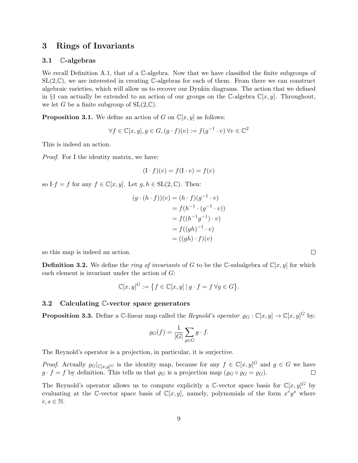### <span id="page-8-0"></span>3 Rings of Invariants

#### <span id="page-8-1"></span>3.1 C-algebras

We recall Definition A.1, that of a C-algebra. Now that we have classified the finite subgroups of  $SL(2,\mathbb{C})$ , we are interested in creating  $\mathbb{C}\text{-algebras}$  for each of them. From there we can construct algebraic varieties, which will allow us to recover our Dynkin diagrams. The action that we defined in §1 can actually be extended to an action of our groups on the C-algebra  $\mathbb{C}[x, y]$ . Throughout, we let G be a finite subgroup of  $SL(2,\mathbb{C})$ .

**Proposition 3.1.** We define an action of G on  $\mathbb{C}[x, y]$  as follows:

$$
\forall f \in \mathbb{C}[x, y], g \in G, (g \cdot f)(v) := f(g^{-1} \cdot v) \,\forall v \in \mathbb{C}^2
$$

This is indeed an action.

Proof. For I the identity matrix, we have:

$$
(\mathbf{I} \cdot f)(v) = f(\mathbf{I} \cdot v) = f(v)
$$

so I·f = f for any  $f \in \mathbb{C}[x, y]$ . Let  $g, h \in SL(2, \mathbb{C})$ . Then:

$$
(g \cdot (h \cdot f))(v) = (h \cdot f)(g^{-1} \cdot v)
$$

$$
= f(h^{-1} \cdot (g^{-1} \cdot v))
$$

$$
= f((h^{-1}g^{-1}) \cdot v)
$$

$$
= f((gh)^{-1} \cdot v)
$$

$$
= ((gh) \cdot f)(v)
$$

so this map is indeed an action.

**Definition 3.2.** We define the *ring of invariants* of G to be the C-subalgebra of  $\mathbb{C}[x, y]$  for which each element is invariant under the action of G:

$$
\mathbb{C}[x,y]^G := \left\{ f \in \mathbb{C}[x,y] \mid g \cdot f = f \,\forall g \in G \right\}.
$$

#### <span id="page-8-2"></span>3.2 Calculating C-vector space generators

**Proposition 3.3.** Define a C-linear map called the *Reynold's operator*  $\varrho_G : \mathbb{C}[x, y] \to \mathbb{C}[x, y]^G$  by:

$$
\varrho_G(f) = \frac{1}{|G|} \sum_{g \in G} g \cdot f.
$$

The Reynold's operator is a projection, in particular, it is surjective.

*Proof.* Actually  $\varrho_G|_{\mathbb{C}[x,y]^G}$  is the identity map, because for any  $f \in \mathbb{C}[x,y]^G$  and  $g \in G$  we have  $g \cdot f = f$  by definition. This tells us that  $\varrho_G$  is a projection map  $(\varrho_G \circ \varrho_G = \varrho_G)$ .

The Reynold's operator allows us to compute explicitly a C-vector space basis for  $\mathbb{C}[x,y]^G$  by evaluating at the C-vector space basis of  $\mathbb{C}[x,y]$ , namely, polynomials of the form  $x^r y^s$  where  $r, s \in \mathbb{N}$ .

 $\Box$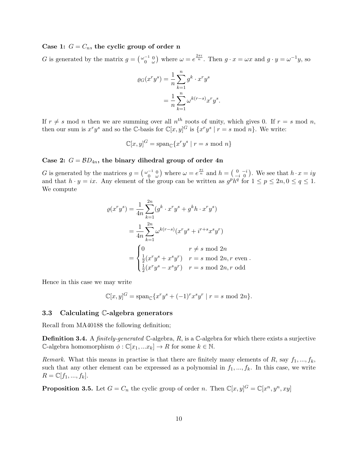#### Case 1:  $G = C_n$ , the cyclic group of order n

G is generated by the matrix  $g = \begin{pmatrix} \omega_0^{-1} & 0 \\ 0 & \omega \end{pmatrix}$  where  $\omega = e^{\frac{2\pi i}{n}}$ . Then  $g \cdot x = \omega x$  and  $g \cdot y = \omega^{-1} y$ , so

$$
\varrho_G(x^r y^s) = \frac{1}{n} \sum_{k=1}^n g^k \cdot x^r y^s
$$

$$
= \frac{1}{n} \sum_{k=1}^n \omega^{k(r-s)} x^r y^s
$$

.

.

If  $r \neq s$  mod n then we are summing over all  $n^{th}$  roots of unity, which gives 0. If  $r = s$  mod n, then our sum is  $x^r y^s$  and so the C-basis for  $\mathbb{C}[x,y]^G$  is  $\{x^r y^s \mid r = s \mod n\}$ . We write:

$$
\mathbb{C}[x,y]^G = \text{span}_{\mathbb{C}}\{x^r y^s \mid r = s \text{ mod } n\}
$$

#### Case 2:  $G = BD_{4n}$ , the binary dihedral group of order 4n

G is generated by the matrices  $g = \begin{pmatrix} \omega^{-1} & 0 \\ 0 & \omega \end{pmatrix}$  where  $\omega = e^{\frac{\pi i}{n}}$  and  $h = \begin{pmatrix} 0 & -i \\ -i & 0 \end{pmatrix}$ . We see that  $h \cdot x = iy$ and that  $h \cdot y = ix$ . Any element of the group can be written as  $g^p h^q$  for  $1 \leq p \leq 2n, 0 \leq q \leq 1$ . We compute

$$
\varrho(x^r y^s) = \frac{1}{4n} \sum_{k=1}^{2n} (g^k \cdot x^r y^s + g^k h \cdot x^r y^s)
$$

$$
= \frac{1}{4n} \sum_{k=1}^{2n} \omega^{k(r-s)} (x^r y^s + i^{r+s} x^s y^r)
$$

$$
= \begin{cases} 0 & r \neq s \text{ mod } 2n \\ \frac{1}{2} (x^r y^s + x^s y^r) & r = s \text{ mod } 2n, r \text{ even} \\ \frac{1}{2} (x^r y^s - x^s y^r) & r = s \text{ mod } 2n, r \text{ odd} \end{cases}
$$

Hence in this case we may write

$$
\mathbb{C}[x,y]^G = \text{span}_{\mathbb{C}}\{x^r y^s + (-1)^r x^s y^r \mid r = s \text{ mod } 2n\}.
$$

#### <span id="page-9-0"></span>3.3 Calculating C-algebra generators

Recall from MA40188 the following definition;

**Definition 3.4.** A *finitely-generated*  $\mathbb{C}$ -algebra, R, is a  $\mathbb{C}$ -algebra for which there exists a surjective C-algebra homomorphism  $\phi : \mathbb{C}[x_1, ... x_k] \to R$  for some  $k \in \mathbb{N}$ .

Remark. What this means in practise is that there are finitely many elements of R, say  $f_1, ..., f_k$ , such that any other element can be expressed as a polynomial in  $f_1, ..., f_k$ . In this case, we write  $R = \mathbb{C}[f_1, ..., f_k].$ 

**Proposition 3.5.** Let  $G = C_n$  the cyclic group of order n. Then  $\mathbb{C}[x, y]^G = \mathbb{C}[x^n, y^n, xy]$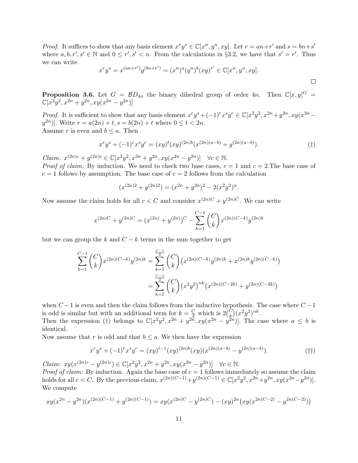*Proof.* It suffices to show that any basis element  $x^r y^s \in \mathbb{C}[x^n, y^n, xy]$ . Let  $r = an+r'$  and  $s = bn+s'$ where  $a, b, r', s' \in \mathbb{N}$  and  $0 \leq r', s' < n$ . From the calculations in §3.2, we have that  $s' = r'$ . Thus we can write

$$
x^r y^s = x^{(an+r')} y^{(bn+r')} = (x^n)^a (y^n)^b (xy)^{r'} \in \mathbb{C}[x^n, y^n, xy].
$$

 $\Box$ 

**Proposition 3.6.** Let  $G = \mathcal{B}D_{4n}$  the binary dihedral group of order 4n. Then  $\mathbb{C}[x,y]^G =$  $\mathbb{C}[x^2y^2, x^{2n}+y^{2n}, xy(x^{2n}-y^{2n})]$ 

*Proof.* It is sufficient to show that any basis element  $x^r y^s + (-1)^r x^s y^r \in \mathbb{C}[x^2 y^2, x^{2n} + y^{2n}, xy(x^{2n} - y^2)]$  $(y^{2n})$ . Write  $r = a(2n) + t$ ,  $s = b(2n) + t$  where  $0 \le t < 2n$ . Assume r is even and  $b \leq a$ . Then

$$
x^r y^s + (-1)^r x^s y^r = (xy)^t (xy)^{(2n)b} (x^{(2n)(a-b)} + y^{(2n)(a-b)}).
$$
 (†)

Claim:  $x^{(2n)c} + y^{(2n)c} \in \mathbb{C}[x^2y^2, x^{2n} + y^{2n}, xy(x^{2n} - y^{2n})] \quad \forall c \in \mathbb{N}.$ 

*Proof of claim:* By induction. We need to check two base cases,  $c = 1$  and  $c = 2$ . The base case of  $c = 1$  follows by assumption. The base case of  $c = 2$  follows from the calculation

$$
(x^{(2n)2} + y^{(2n)2}) = (x^{2n} + y^{2n})^2 - 2(x^2y^2)^n.
$$

Now assume the claim holds for all  $c < C$  and consider  $x^{(2n)C} + y^{(2n)C}$ . We can write

$$
x^{(2n)C} + y^{(2n)C} = (x^{(2n)} + y^{(2n)})^C - \sum_{k=1}^{C-1} {C \choose k} x^{(2n)(C-k)} y^{(2n)k}
$$

but we can group the k and  $C - k$  terms in the sum together to get

$$
\sum_{k=1}^{C-1} {C \choose k} x^{(2n)(C-k)} y^{(2n)k} = \sum_{k=1}^{\frac{C-1}{2}} {C \choose k} (x^{(2n)(C-k)} y^{(2n)k} + x^{(2n)k} y^{(2n)(C-k)})
$$

$$
= \sum_{k=1}^{\frac{C-1}{2}} {C \choose k} (x^2 y^2)^{nk} (x^{(2n)(C-2k)} + y^{(2n)(C-2k)})
$$

when  $C - 1$  is even and then the claim follows from the inductive hypothesis. The case where  $C - 1$ is odd is similar but with an additional term for  $k = \frac{C}{2}$  which is  $2\binom{C}{k}(x^2y^2)^{nk}$ .

Then the expression (†) belongs to  $\mathbb{C}[x^2y^2, x^{2n} + y^{2n}, xy(x^{2n} - y^{2n})]$ . The case where  $a \leq b$  is identical.

Now assume that r is odd and that  $b \leq a$ . We then have the expression

$$
x^r y^s + (-1)^r x^s y^r = (xy)^{t-1} (xy)^{(2n)b} (xy) (x^{(2n)(a-b)} - y^{(2n)(a-b)}).
$$
 (††)

Claim:  $xy(x^{(2n)c} - y^{(2n)c}) \in \mathbb{C}[x^2y^2, x^{2n} + y^{2n}, xy(x^{2n} - y^{2n})] \quad \forall c \in \mathbb{N}.$ *Proof of claim:* By induction. Again the base case of  $c = 1$  follows immediately so assume the claim holds for all  $c < C$ . By the previous claim,  $x^{(2n)(C-1)} + y^{(2n)(C-1)} \in \mathbb{C}[x^2y^2, x^{2n} + y^{2n}, xy(x^{2n} - y^{2n})]$ . We compute

$$
xy(x^{2n} - y^{2n})(x^{(2n)(C-1)} + y^{(2n)(C-1)}) = xy(x^{(2n)C} - y^{(2n)C}) - (xy)^{2n}(xy(x^{2n(C-2)} - y^{2n(C-2)}))
$$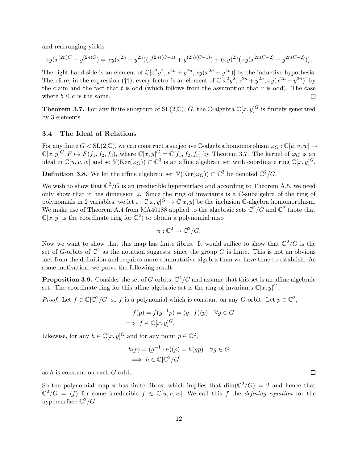and rearranging yields

$$
xy(x^{(2n)C} - y^{(2n)C}) = xy(x^{2n} - y^{2n})(x^{(2n)(C-1)} + y^{(2n)(C-1)}) + (xy)^{2n}(xy(x^{2n(C-2)} - y^{2n(C-2)})).
$$

The right hand side is an element of  $\mathbb{C}[x^2y^2, x^{2n}+y^{2n}, xy(x^{2n}-y^{2n})]$  by the inductive hypothesis. Therefore, in the expression († † ), every factor is an element of  $\mathbb{C}[x^2y^2, x^{2n}+y^{2n}, xy(x^{2n}-y^{2n})]$  by the claim and the fact that t is odd (which follows from the assumption that  $r$  is odd). The case where  $b \leq a$  is the same.  $\Box$ 

**Theorem 3.7.** For any finite subgroup of  $SL(2,\mathbb{C})$ , G, the C-algebra  $\mathbb{C}[x,y]^G$  is finitely generated by 3 elements.

#### <span id="page-11-0"></span>3.4 The Ideal of Relations

For any finite  $G < SL(2,\mathbb{C})$ , we can construct a surjective C-algebra homomorphism  $\varphi_G : \mathbb{C}[u, v, w] \to$  $\mathbb{C}[x,y]^G, F \mapsto F(f_1, f_2, f_3),$  where  $\mathbb{C}[x,y]^G = \mathbb{C}[f_1, f_2, f_3]$  by Theorem 3.7. The kernel of  $\varphi_G$  is an ideal in  $\mathbb{C}[u, v, w]$  and so  $\mathbb{V}(\text{Ker}(\varphi_G)) \subset \mathbb{C}^3$  is an affine algebraic set with coordinate ring  $\mathbb{C}[x, y]^G$ .

**Definition 3.8.** We let the affine algebraic set  $\mathbb{V}(\text{Ker}(\varphi_G)) \subset \mathbb{C}^3$  be denoted  $\mathbb{C}^2/G$ .

We wish to show that  $\mathbb{C}^2/G$  is an irreducible hypersurface and according to Theorem A.5, we need only show that it has dimension 2. Since the ring of invariants is a C-subalgebra of the ring of polynomials in 2 variables, we let  $\iota : \mathbb{C}[x, y]^G \hookrightarrow \mathbb{C}[x, y]$  be the inclusion C-algebra homomorphism. We make use of Theorem A.4 from MA40188 applied to the algebraic sets  $\mathbb{C}^2/G$  and  $\mathbb{C}^2$  (note that  $\mathbb{C}[x,y]$  is the coordinate ring for  $\mathbb{C}^2$  to obtain a polynomial map

$$
\pi: \mathbb{C}^2 \to \mathbb{C}^2/G.
$$

Now we want to show that this map has finite fibres. It would suffice to show that  $\mathbb{C}^2/G$  is the set of G-orbits of  $\mathbb{C}^2$  as the notation suggests, since the group G is finite. This is not an obvious fact from the definition and requires more commutative algebra than we have time to establish. As some motivation, we prove the following result:

**Proposition 3.9.** Consider the set of G-orbits,  $\mathbb{C}^2/G$  and assume that this set is an affine algebraic set. The coordinate ring for this affine algebraic set is the ring of invariants  $\mathbb{C}[x, y]^G$ .

*Proof.* Let  $f \in \mathbb{C}[\mathbb{C}^2/G]$  so f is a polynomial which is constant on any G-orbit. Let  $p \in \mathbb{C}^2$ ,

$$
f(p) = f(g^{-1}p) = (g \cdot f)(p) \quad \forall g \in G
$$
  
\n
$$
\implies f \in \mathbb{C}[x, y]^G.
$$

Likewise, for any  $h \in \mathbb{C}[x, y]^G$  and for any point  $p \in \mathbb{C}^2$ ,

$$
h(p) = (g^{-1} \cdot h)(p) = h(gp) \quad \forall g \in G
$$

$$
\implies h \in \mathbb{C}[\mathbb{C}^2/G]
$$

as h is constant on each G-orbit.

So the polynomial map  $\pi$  has finite fibres, which implies that  $\dim(\mathbb{C}^2/G) = 2$  and hence that  $\mathbb{C}^2/G = \langle f \rangle$  for some irreducible  $f \in \mathbb{C}[u, v, w]$ . We call this f the *defining equation* for the hypersurface  $\mathbb{C}^2/G$ .

 $\Box$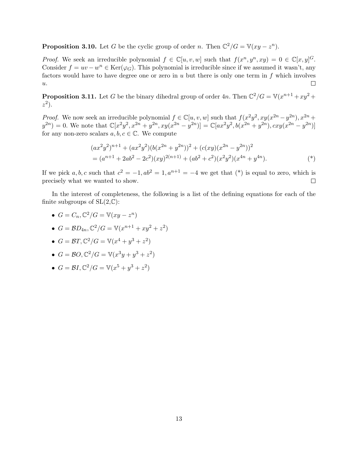**Proposition 3.10.** Let G be the cyclic group of order n. Then  $\mathbb{C}^2/G = \mathbb{V}(xy - z^n)$ .

*Proof.* We seek an irreducible polynomial  $f \in \mathbb{C}[u, v, w]$  such that  $f(x^n, y^n, xy) = 0 \in \mathbb{C}[x, y]^G$ . Consider  $f = uv - w^n \in \text{Ker}(\varphi_G)$ . This polynomial is irreducible since if we assumed it wasn't, any factors would have to have degree one or zero in  $u$  but there is only one term in  $f$  which involves  $\overline{u}$ .  $\Box$ 

**Proposition 3.11.** Let G be the binary dihedral group of order  $4n$ . Then  $\mathbb{C}^2/G = \mathbb{V}(x^{n+1} + xy^2 + z^2)$  $z^2$ ).

*Proof.* We now seek an irreducible polynomial  $f \in \mathbb{C}[u, v, w]$  such that  $f(x^2y^2, xy(x^{2n}-y^{2n}), x^{2n}+y^{2n})$  $y^{2n} = 0$ . We note that  $\mathbb{C}[x^2y^2, x^{2n} + y^{2n}, xy(x^{2n} - y^{2n})] = \mathbb{C}[ax^2y^2, b(x^{2n} + y^{2n}), cxy(x^{2n} - y^{2n})]$ for any non-zero scalars  $a, b, c \in \mathbb{C}$ . We compute

$$
(ax^2y^2)^{n+1} + (ax^2y^2)(b(x^{2n} + y^{2n}))^2 + (c(xy)(x^{2n} - y^{2n}))^2
$$
  
= 
$$
(a^{n+1} + 2ab^2 - 2c^2)(xy)^{2(n+1)} + (ab^2 + c^2)(x^2y^2)(x^{4n} + y^{4n}).
$$
 (\*)

If we pick  $a, b, c$  such that  $c^2 = -1$ ,  $ab^2 = 1$ ,  $a^{n+1} = -4$  we get that  $(*)$  is equal to zero, which is precisely what we wanted to show.  $\Box$ 

In the interest of completeness, the following is a list of the defining equations for each of the finite subgroups of  $SL(2,\mathbb{C})$ :

- $G = C_n$ ,  $\mathbb{C}^2/G = \mathbb{V}(xy z^n)$
- $G = BD_{4n}, \mathbb{C}^2/G = \mathbb{V}(x^{n+1} + xy^2 + z^2)$
- $G = \mathcal{B}T$ ,  $\mathbb{C}^2/G = \mathbb{V}(x^4 + y^3 + z^2)$
- $G = \mathcal{B}O$ ,  $\mathbb{C}^2/G = \mathbb{V}(x^3y + y^3 + z^2)$
- $G = \mathcal{B}I$ ,  $\mathbb{C}^2/G = \mathbb{V}(x^5 + y^3 + z^2)$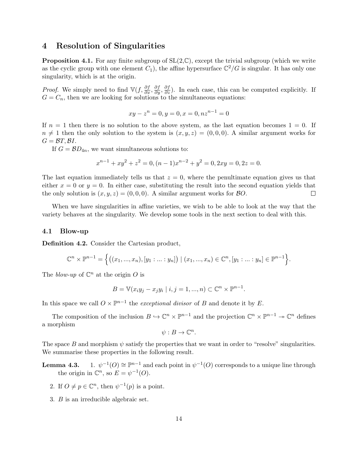### <span id="page-13-0"></span>4 Resolution of Singularities

**Proposition 4.1.** For any finite subgroup of  $SL(2,\mathbb{C})$ , except the trivial subgroup (which we write as the cyclic group with one element  $C_1$ ), the affine hypersurface  $\mathbb{C}^2/G$  is singular. It has only one singularity, which is at the origin.

*Proof.* We simply need to find  $\mathbb{V}(f, \frac{\partial f}{\partial x}, \frac{\partial f}{\partial y}, \frac{\partial f}{\partial z})$ . In each case, this can be computed explicitly. If  $G = C_n$ , then we are looking for solutions to the simultaneous equations:

$$
xy - z^n = 0, y = 0, x = 0, nz^{n-1} = 0
$$

If  $n = 1$  then there is no solution to the above system, as the last equation becomes  $1 = 0$ . If  $n \neq 1$  then the only solution to the system is  $(x, y, z) = (0, 0, 0)$ . A similar argument works for  $G = \mathcal{B}T, \mathcal{B}I.$ 

If  $G = \mathcal{B}D_{4n}$ , we want simultaneous solutions to:

$$
x^{n-1} + xy^2 + z^2 = 0, (n - 1)x^{n-2} + y^2 = 0, 2xy = 0, 2z = 0.
$$

The last equation immediately tells us that  $z = 0$ , where the penultimate equation gives us that either  $x = 0$  or  $y = 0$ . In either case, substituting the result into the second equation yields that the only solution is  $(x, y, z) = (0, 0, 0)$ . A similar argument works for  $\beta O$ .  $\Box$ 

When we have singularities in affine varieties, we wish to be able to look at the way that the variety behaves at the singularity. We develop some tools in the next section to deal with this.

#### <span id="page-13-1"></span>4.1 Blow-up

Definition 4.2. Consider the Cartesian product,

$$
\mathbb{C}^n \times \mathbb{P}^{n-1} = \left\{ \left( (x_1, ..., x_n), [y_1 : ... : y_n] \right) \mid (x_1, ..., x_n) \in \mathbb{C}^n, [y_1 : ... : y_n] \in \mathbb{P}^{n-1} \right\}.
$$

The *blow-up* of  $\mathbb{C}^n$  at the origin O is

$$
B = \mathbb{V}(x_i y_j - x_j y_i \mid i, j = 1, ..., n) \subset \mathbb{C}^n \times \mathbb{P}^{n-1}.
$$

In this space we call  $O \times \mathbb{P}^{n-1}$  the *exceptional divisor* of B and denote it by E.

The composition of the inclusion  $B \hookrightarrow \mathbb{C}^n \times \mathbb{P}^{n-1}$  and the projection  $\mathbb{C}^n \times \mathbb{P}^{n-1} \to \mathbb{C}^n$  defines a morphism

$$
\psi: B \to \mathbb{C}^n.
$$

The space B and morphism  $\psi$  satisfy the properties that we want in order to "resolve" singularities. We summarise these properties in the following result.

- **Lemma 4.3.** 1.  $\psi^{-1}(O) \cong \mathbb{P}^{n-1}$  and each point in  $\psi^{-1}(O)$  corresponds to a unique line through the origin in  $\mathbb{C}^n$ , so  $E = \psi^{-1}(O)$ .
	- 2. If  $O \neq p \in \mathbb{C}^n$ , then  $\psi^{-1}(p)$  is a point.
	- 3. B is an irreducible algebraic set.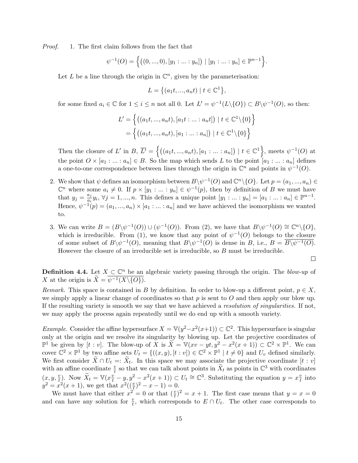Proof. 1. The first claim follows from the fact that

$$
\psi^{-1}(O) = \left\{ \big( (0, ..., 0), [y_1: ... : y_n] \big) \mid [y_1: ... : y_n] \in \mathbb{P}^{n-1} \right\}.
$$

Let L be a line through the origin in  $\mathbb{C}^n$ , given by the parameterisation:

$$
L = \left\{ (a_1 t, ..., a_n t) \mid t \in \mathbb{C}^1 \right\},\
$$

for some fixed  $a_i \in \mathbb{C}$  for  $1 \leq i \leq n$  not all 0. Let  $L' = \psi^{-1}(L \setminus \{O\}) \subset B \setminus \psi^{-1}(O)$ , so then:

$$
L' = \left\{ \left( (a_1t, ..., a_nt), [a_1t: ...: a_nt] \right) \mid t \in \mathbb{C}^1 \backslash \{0\} \right\}
$$

$$
= \left\{ \left( (a_1t, ..., a_nt), [a_1: ...: a_n] \right) \mid t \in \mathbb{C}^1 \backslash \{0\} \right\}
$$

Then the closure of L' in B,  $\overline{L'} = \left\{ \left( (a_1t, ..., a_nt), [a_1 : ... : a_n] \right) \mid t \in \mathbb{C}^1 \right\}$ , meets  $\psi^{-1}(O)$  at the point  $O \times [a_1 : ... : a_n] \in B$ . So the map which sends L to the point  $[a_1 : ... : a_n]$  defines a one-to-one correspondence between lines through the origin in  $\mathbb{C}^n$  and points in  $\psi^{-1}(O)$ .

- 2. We show that  $\psi$  defines an isomorphism between  $B\setminus\psi^{-1}(O)$  and  $\mathbb{C}^n\setminus\{O\}$ . Let  $p=(a_1,...,a_n)\in$  $\mathbb{C}^n$  where some  $a_i \neq 0$ . If  $p \times [y_1 : ... : y_n] \in \psi^{-1}(p)$ , then by definition of B we must have that  $y_j = \frac{a_j}{a_i}$  $a_j \atop a_i y_i, \forall j = 1, ..., n.$  This defines a unique point  $[y_1 : ... : y_n] = [a_1 : ... : a_n] \in \mathbb{P}^{n-1}.$ Hence,  $\psi^{-1}(p) = (a_1, ..., a_n) \times [a_1 : ... : a_n]$  and we have achieved the isomorphism we wanted to.
- 3. We can write  $B = (B \setminus \psi^{-1}(O)) \cup (\psi^{-1}(O))$ . From (2), we have that  $B \setminus \psi^{-1}(O) \cong \mathbb{C}^n \setminus \{O\}$ , which is irreducible. From (1), we know that any point of  $\psi^{-1}(O)$  belongs to the closure of some subset of  $B \backslash \psi^{-1}(O)$ , meaning that  $B \backslash \psi^{-1}(O)$  is dense in B, i.e.,  $B = \overline{B \backslash \psi^{-1}(O)}$ . However the closure of an irreducible set is irreducible, so  $B$  must be irreducible.

$$
\Box
$$

**Definition 4.4.** Let  $X \subset \mathbb{C}^n$  be an algebraic variety passing through the origin. The blow-up of X at the origin is  $\widetilde{X} = \overline{\psi^{-1}(X \setminus \{O\})}.$ 

Remark. This space is contained in B by definition. In order to blow-up a different point,  $p \in X$ , we simply apply a linear change of coordinates so that  $p$  is sent to  $O$  and then apply our blow up. If the resulting variety is smooth we say that we have achieved a resolution of singularities. If not, we may apply the process again repeatedly until we do end up with a smooth variety.

*Example.* Consider the affine hypersurface  $X = \mathbb{V}(y^2 - x^2(x+1)) \subset \mathbb{C}^2$ . This hypersurface is singular only at the origin and we resolve its singularity by blowing up. Let the projective coordinates of  $\mathbb{P}^1$  be given by [t : v]. The blow-up of X is  $\widetilde{X} = \mathbb{V}(xv - yt, y^2 - x^2(x+1)) \subset \mathbb{C}^2 \times \mathbb{P}^1$ . We can cover  $\mathbb{C}^2 \times \mathbb{P}^1$  by two affine sets  $U_t = \{((x, y), [t : v]) \in \mathbb{C}^2 \times \mathbb{P}^1 \mid t \neq 0\}$  and  $U_v$  defined similarly. We first consider  $X \cap U_t =: X_t$ . In this space we may associate the projective coordinate  $[t : v]$ with an affine coordinate  $\frac{v}{t}$  so that we can talk about points in  $\tilde{X}_t$  as points in  $\mathbb{C}^3$  with coordinates  $(x, y, \frac{v}{t})$ . Now  $\widetilde{X}_t = \mathbb{V}(x \frac{v}{t} - y, y^2 - x^2(x+1)) \subset U_t \cong \mathbb{C}^3$ . Substituting the equation  $y = x \frac{v}{t}$  $\frac{v}{t}$  into  $y^2 = x^2(x+1)$ , we get that  $x^2(\left(\frac{v}{t}\right)^2 - x - 1) = 0$ .

We must have that either  $x^2 = 0$  or that  $(\frac{v}{t})^2 = x + 1$ . The first case means that  $y = x = 0$ and can have any solution for  $\frac{v}{t}$ , which corresponds to  $E \cap U_t$ . The other case corresponds to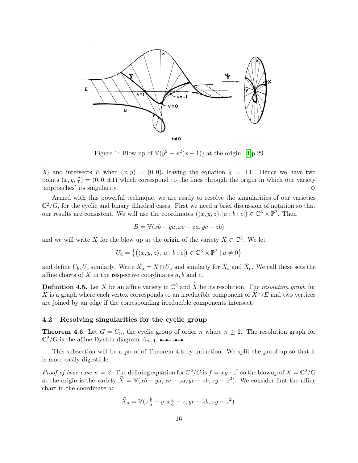

Figure 1: Blow-up of  $\mathbb{V}(y^2 - x^2(x+1))$  at the origin, [\[1\]](#page-31-0)p.29

 $\widetilde{X}_t$  and intersects E when  $(x, y) = (0, 0)$ , leaving the equation  $\frac{v}{t} = \pm 1$ . Hence we have two points  $(x, y, \frac{v}{t}) = (0, 0, \pm 1)$  which correspond to the lines through the origin in which our variety  $\Diamond$  'approaches' its singularity.  $\Diamond$ 

Armed with this powerful technique, we are ready to resolve the singularities of our varieties  $\mathbb{C}^2/G$ , for the cyclic and binary dihedral cases. First we need a brief discussion of notation so that our results are consistent. We will use the coordinates  $((x, y, z), [a : b : c]) \in \mathbb{C}^3 \times \mathbb{P}^2$ . Then

$$
B = \mathbb{V}(xb - ya, xc - za,yc - zb)
$$

and we will write  $\widetilde{X}$  for the blow up at the origin of the variety  $X \subset \mathbb{C}^3$ . We let

$$
U_a = \{ ((x, y, z), [a : b : c]) \in \mathbb{C}^3 \times \mathbb{P}^2 \mid a \neq 0 \}
$$

and define  $U_b, U_c$  similarly. Write  $\widetilde{X}_a = X \cap U_a$  and similarly for  $\widetilde{X}_b$  and  $\widetilde{X}_c$ . We call these sets the affine charts of  $X$  in the respective coordinates  $a, b$  and  $c$ .

**Definition 4.5.** Let X be an affine variety in  $\mathbb{C}^3$  and  $\widetilde{X}$  be its resolution. The resolution graph for X is a graph where each vertex corresponds to an irreducible component of  $\overline{X} \cap E$  and two vertices are joined by an edge if the corresponding irreducible components intersect.

#### <span id="page-15-0"></span>4.2 Resolving singularities for the cyclic group

**Theorem 4.6.** Let  $G = C_n$ , the cyclic group of order n where  $n \geq 2$ . The resolution graph for  $\mathbb{C}^2/G$  is the affine Dynkin diagram  $A_{n-1}$ ,  $\longrightarrow \bullet$ .

This subsection will be a proof of Theorem 4.6 by induction. We split the proof up so that it is more easily digestible.

*Proof of base case n = 2.* The defining equation for  $\mathbb{C}^2/G$  is  $f = xy - z^2$  so the blowup of  $X = \mathbb{C}^2/G$ at the origin is the variety  $\widetilde{X} = \mathbb{V}(xb - ya, xc - za, yc - zb, xy - z^2)$ . We consider first the affine chart in the coordinate a;

$$
\widetilde{X}_a = \mathbb{V}(x_a^b - y, x_a^c - z, y_c - zb, xy - z^2).
$$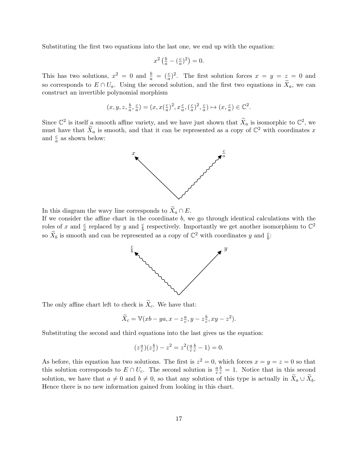Substituting the first two equations into the last one, we end up with the equation:

$$
x^2\left(\frac{b}{a} - \left(\frac{c}{a}\right)^2\right) = 0.
$$

This has two solutions,  $x^2 = 0$  and  $\frac{b}{a} = (\frac{c}{a})^2$ . The first solution forces  $x = y = z = 0$  and so corresponds to  $E \cap U_a$ . Using the second solution, and the first two equations in  $\widetilde{X}_a$ , we can construct an invertible polynomial morphism

$$
(x, y, z, \frac{b}{a}, \frac{c}{a}) = (x, x(\frac{c}{a})^2, x\frac{c}{a}, (\frac{c}{a})^2, \frac{c}{a}) \mapsto (x, \frac{c}{a}) \in \mathbb{C}^2.
$$

Since  $\mathbb{C}^2$  is itself a smooth affine variety, and we have just shown that  $\widetilde{X}_a$  is isomorphic to  $\mathbb{C}^2$ , we must have that  $\widetilde{X}_a$  is smooth, and that it can be represented as a copy of  $\mathbb{C}^2$  with coordinates x and  $\frac{c}{a}$  as shown below:



In this diagram the wavy line corresponds to  $\widetilde{X}_a \cap E$ .

If we consider the affine chart in the coordinate  $b$ , we go through identical calculations with the roles of x and  $\frac{c}{a}$  replaced by y and  $\frac{c}{b}$  respectively. Importantly we get another isomorphism to  $\mathbb{C}^2$ so  $\widetilde{X}_b$  is smooth and can be represented as a copy of  $\mathbb{C}^2$  with coordinates y and  $\frac{c}{b}$ .



The only affine chart left to check is  $\tilde{X}_c$ . We have that:

$$
\widetilde{X}_c = \mathbb{V}(xb - ya, x - z\frac{a}{c}, y - z\frac{b}{c}, xy - z^2).
$$

Substituting the second and third equations into the last gives us the equation:

$$
(z_{\overline{c}}^{\underline{a}})(z_{\overline{c}}^{\underline{b}}) - z^2 = z^2(\frac{a}{c}\frac{b}{c} - 1) = 0.
$$

As before, this equation has two solutions. The first is  $z^2 = 0$ , which forces  $x = y = z = 0$  so that this solution corresponds to  $E \cap U_c$ . The second solution is  $\frac{a}{c}$  $\frac{b}{c} = 1$ . Notice that in this second solution, we have that  $a \neq 0$  and  $b \neq 0$ , so that any solution of this type is actually in  $\widetilde{X}_a \cup \widetilde{X}_b$ . Hence there is no new information gained from looking in this chart.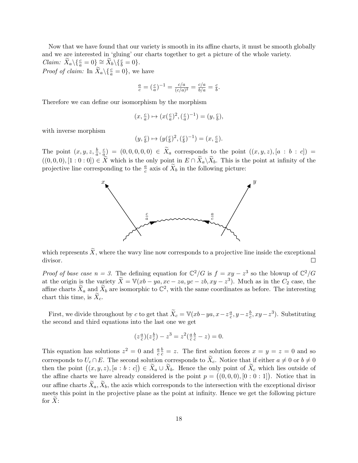Now that we have found that our variety is smooth in its affine charts, it must be smooth globally and we are interested in 'gluing' our charts together to get a picture of the whole variety. *Claim:*  $\widetilde{X}_a \setminus \{\frac{c}{a} = 0\} \cong \widetilde{X}_b \setminus \{\frac{c}{b} = 0\}.$ 

*Proof of claim:* In  $\widetilde{X}_a \setminus \{\frac{c}{a} = 0\}$ , we have

$$
\frac{a}{c} = \left(\frac{c}{a}\right)^{-1} = \frac{c/a}{(c/a)^2} = \frac{c/a}{b/a} = \frac{c}{b}.
$$

Therefore we can define our isomorphism by the morphism

$$
(x, \frac{c}{a}) \mapsto (x(\frac{c}{a})^2, (\frac{c}{a})^{-1}) = (y, \frac{c}{b}),
$$

with inverse morphism

$$
(y,\tfrac{c}{b})\mapsto (y(\tfrac{c}{b})^2, (\tfrac{c}{b})^{-1})=(x,\tfrac{c}{a}).
$$

The point  $(x, y, z, \frac{b}{a}, \frac{c}{a})$  $\frac{a}{a}$  =  $(0,0,0,0,0) \in X_a$  corresponds to the point  $((x,y,z), [a:b:c])$  =  $((0,0,0), [1:0:0]) \in \widetilde{X}$  which is the only point in  $E \cap \widetilde{X}_a \backslash \widetilde{X}_b$ . This is the point at infinity of the projective line corresponding to the  $\frac{a}{c}$  axis of  $\widetilde{X}_b$  in the following picture:



which represents  $\widetilde{X}$ , where the wavy line now corresponds to a projective line inside the exceptional divisor. divisor.

*Proof of base case n = 3.* The defining equation for  $\mathbb{C}^2/G$  is  $f = xy - z^3$  so the blowup of  $\mathbb{C}^2/G$ at the origin is the variety  $\widetilde{X} = \mathbb{V}(xb - ya, xc - za,yc - zb, xy - z^3)$ . Much as in the  $C_2$  case, the affine charts  $\widetilde{X}_a$  and  $\widetilde{X}_b$  are isomorphic to  $\mathbb{C}^2$ , with the same coordinates as before. The interesting chart this time, is  $X_c$ .

First, we divide throughout by c to get that  $\widetilde{X}_c = \mathbb{V}(xb - ya, x - z\frac{a}{c})$  $\frac{a}{c}$ , y – z $\frac{b}{c}$  $\frac{b}{c}$ ,  $xy - z^3$ ). Substituting the second and third equations into the last one we get

$$
(z\frac{a}{c})(z\frac{b}{c}) - z^3 = z^2(\frac{a}{c}\frac{b}{c} - z) = 0.
$$

This equation has solutions  $z^2 = 0$  and  $\frac{a}{c}$  $\frac{b}{c} = z$ . The first solution forces  $x = y = z = 0$  and so corresponds to  $U_c \cap E$ . The second solution corresponds to  $X_c$ . Notice that if either  $a \neq 0$  or  $b \neq 0$ then the point  $((x, y, z), [a : b : c]) \in X_a \cup X_b$ . Hence the only point of  $X_c$  which lies outside of the affine charts we have already considered is the point  $p = (0,0,0), [0:0:1]$ . Notice that in our affine charts  $\tilde{X}_a, \tilde{X}_b$ , the axis which corresponds to the intersection with the exceptional divisor meets this point in the projective plane as the point at infinity. Hence we get the following picture for  $X$ :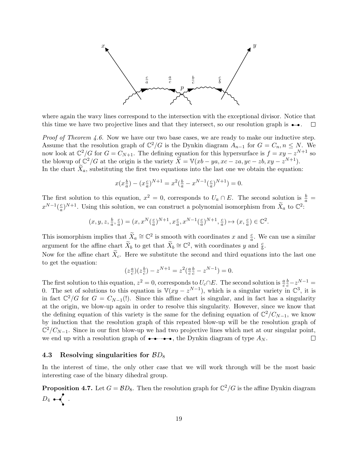

where again the wavy lines correspond to the intersection with the exceptional divisor. Notice that this time we have two projective lines and that they intersect, so our resolution graph is  $\rightarrow$ .  $\Box$ 

Proof of Theorem 4.6. Now we have our two base cases, we are ready to make our inductive step. Assume that the resolution graph of  $\mathbb{C}^2/G$  is the Dynkin diagram  $A_{n-1}$  for  $G = C_n, n \leq N$ . We now look at  $\mathbb{C}^2/G$  for  $G = C_{N+1}$ . The defining equation for this hypersurface is  $f = xy - z^{N+1}$  so the blowup of  $\mathbb{C}^2/G$  at the origin is the variety  $\widetilde{X} = \mathbb{V}(xb - ya, xc - za, yc - zb, xy - z^{N+1}).$ In the chart  $\bar{X}_a$ , substituting the first two equations into the last one we obtain the equation:

$$
x(x\frac{b}{a}) - (x\frac{c}{a})^{N+1} = x^2(\frac{b}{a} - x^{N-1}(\frac{c}{a})^{N+1}) = 0.
$$

The first solution to this equation,  $x^2 = 0$ , corresponds to  $U_a \cap E$ . The second solution is  $\frac{b}{a} =$  $x^{N-1}(\frac{c}{a})$  $\frac{c}{a}$ ,  $N+1$ . Using this solution, we can construct a polynomial isomorphism from  $\widetilde{X}_a$  to  $\mathbb{C}^2$ .

$$
(x,y,z,\tfrac{b}{a},\tfrac{c}{a})=(x,x^N(\tfrac{c}{a})^{N+1},x\tfrac{c}{a},x^{N-1}(\tfrac{c}{a})^{N+1},\tfrac{c}{a})\mapsto (x,\tfrac{c}{a})\in\mathbb{C}^2.
$$

This isomorphism implies that  $\widetilde{X}_a \cong \mathbb{C}^2$  is smooth with coordinates x and  $\frac{c}{a}$ . We can use a similar argument for the affine chart  $\widetilde{X}_b$  to get that  $\widetilde{X}_b \cong \mathbb{C}^2$ , with coordinates y and  $\frac{c}{b}$ .

Now for the affine chart  $\tilde{X}_c$ . Here we substitute the second and third equations into the last one to get the equation:

$$
(z\frac{a}{c})(z\frac{b}{c}) - z^{N+1} = z^2(\frac{a}{c}\frac{b}{c} - z^{N-1}) = 0.
$$

The first solution to this equation,  $z^2 = 0$ , corresponds to  $U_c \cap E$ . The second solution is  $\frac{a}{c}$  $rac{b}{c} - z^{N-1} =$ 0. The set of solutions to this equation is  $\mathbb{V}(xy - z^{N-1})$ , which is a singular variety in  $\mathbb{C}^3$ , it is in fact  $\mathbb{C}^2/G$  for  $G = C_{N-1}$ . Since this affine chart is singular, and in fact has a singularity at the origin, we blow-up again in order to resolve this singularity. However, since we know that the defining equation of this variety is the same for the defining equation of  $\mathbb{C}^2/C_{N-1}$ , we know by induction that the resolution graph of this repeated blow-up will be the resolution graph of  $\mathbb{C}^2/C_{N-1}$ . Since in our first blow-up we had two projective lines which met at our singular point, we end up with a resolution graph of  $\bullet \bullet \bullet \bullet \bullet$ , the Dynkin diagram of type  $A_N$ .  $\Box$ 

#### <span id="page-18-0"></span>4.3 Resolving singularities for  $BD_8$

In the interest of time, the only other case that we will work through will be the most basic interesting case of the binary dihedral group.

**Proposition 4.7.** Let  $G = \mathcal{B}D_8$ . Then the resolution graph for  $\mathbb{C}^2/G$  is the affine Dynkin diagram  $D_4$  .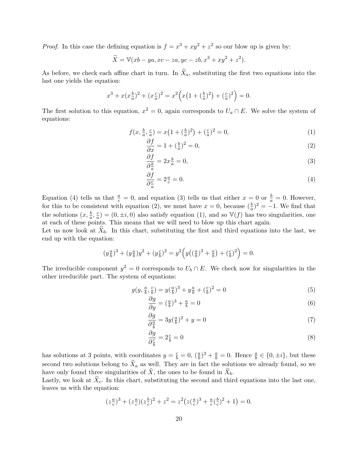*Proof.* In this case the defining equation is  $f = x^3 + xy^2 + z^2$  so our blow up is given by:

$$
\widetilde{X} = \mathbb{V}(xb - ya, xc - za,yc - zb, x^3 + xy^2 + z^2).
$$

As before, we check each affine chart in turn. In  $X_a$ , substituting the first two equations into the last one yields the equation:

$$
x^{3} + x(x_{a}^{b})^{2} + (x_{a}^{c})^{2} = x^{2} \Big( x(1 + (\frac{b}{a})^{2}) + (\frac{c}{a})^{2} \Big) = 0.
$$

The first solution to this equation,  $x^2 = 0$ , again corresponds to  $U_a \cap E$ . We solve the system of equations:

$$
f(x, \frac{b}{a}, \frac{c}{a}) = x(1 + (\frac{b}{a})^2) + (\frac{c}{a})^2 = 0,
$$
\n(1)

$$
\frac{\partial f}{\partial x} = 1 + \left(\frac{b}{a}\right)^2 = 0,\tag{2}
$$

$$
\frac{\partial f}{\partial \frac{b}{a}} = 2x \frac{b}{a} = 0,\tag{3}
$$

$$
\frac{\partial f}{\partial \frac{c}{a}} = 2\frac{a}{c} = 0. \tag{4}
$$

Equation (4) tells us that  $\frac{a}{c} = 0$ , and equation (3) tells us that either  $x = 0$  or  $\frac{b}{a} = 0$ . However, for this to be consistent with equation (2), we must have  $x = 0$ , because  $(\frac{b}{a})^2 = -1$ . We find that the solutions  $(x, \frac{b}{a}, \frac{c}{a})$  $\frac{c}{a}$ ) = (0,  $\pm i$ , 0) also satisfy equation (1), and so  $\mathbb{V}(f)$  has two singularities, one at each of these points. This means that we will need to blow up this chart again.

Let us now look at  $X_b$ . In this chart, substituting the first and third equations into the last, we end up with the equation:

$$
(y\frac{a}{b})^3 + (y\frac{a}{b})y^2 + (y\frac{c}{b})^2 = y^2\left(y((\frac{a}{b})^3 + \frac{a}{b}) + (\frac{c}{b})^2\right) = 0.
$$

The irreducible component  $y^2 = 0$  corresponds to  $U_b \cap E$ . We check now for singularities in the other irreducible part. The system of equations:

$$
g(y, \frac{a}{b}, \frac{c}{b}) = y(\frac{a}{b})^3 + y\frac{a}{b} + (\frac{c}{b})^2 = 0
$$
\n(5)

$$
\frac{\partial g}{\partial y} = \left(\frac{a}{b}\right)^3 + \frac{a}{b} = 0\tag{6}
$$

$$
\frac{\partial g}{\partial \frac{a}{b}} = 3y(\frac{a}{b})^2 + y = 0\tag{7}
$$

$$
\frac{\partial g}{\partial \frac{c}{b}} = 2\frac{c}{b} = 0\tag{8}
$$

has solutions at 3 points, with coordinates  $y = \frac{c}{b} = 0$ ,  $(\frac{a}{b})^3 + \frac{a}{b} = 0$ . Hence  $\frac{a}{b} \in \{0, \pm i\}$ , but these second two solutions belong to  $\tilde{X}_a$  as well. They are in fact the solutions we already found, so we have only found three singularities of  $X$ , the ones to be found in  $X_b$ .

Lastly, we look at  $\bar{X}_c$ . In this chart, substituting the second and third equations into the last one, leaves us with the equation:

$$
(z\frac{a}{c})^3 + (z\frac{a}{c})(z\frac{b}{c})^2 + z^2 = z^2(z(\frac{a}{c})^3 + \frac{a}{c}(\frac{b}{c})^2 + 1) = 0.
$$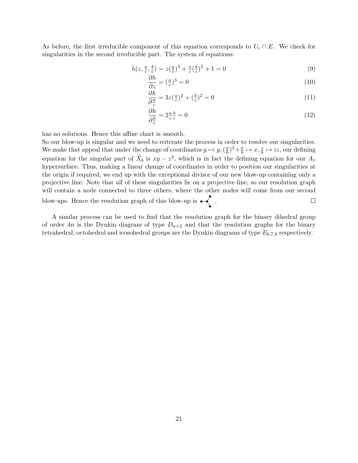As before, the first irreducible component of this equation corresponds to  $U_c \cap E$ . We check for singularities in the second irreducible part. The system of equations:

$$
h(z, \frac{a}{c}, \frac{b}{c}) = z(\frac{a}{c})^3 + \frac{a}{c}(\frac{b}{c})^2 + 1 = 0
$$
\n(9)

$$
\frac{\partial h}{\partial z} = \left(\frac{a}{c}\right)^3 = 0\tag{10}
$$

$$
\frac{\partial h}{\partial \frac{a}{c}} = 3z(\frac{a}{c})^2 + (\frac{b}{c})^2 = 0\tag{11}
$$

$$
\frac{\partial h}{\partial \frac{b}{c}} = 2\frac{a}{c}\frac{b}{c} = 0\tag{12}
$$

has no solutions. Hence this affine chart is smooth.

So our blow-up is singular and we need to reiterate the process in order to resolve our singularities. We make that appeal that under the change of coordinates  $y \mapsto y$ ,  $(\frac{a}{b})$  $\frac{a}{b}$ )<sup>3</sup>+ $\frac{a}{b}$  $\frac{a}{b} \mapsto x, \frac{c}{b} \mapsto iz$ , our defining equation for the singular part of  $\tilde{X}_b$  is  $xy - z^2$ , which is in fact the defining equation for our  $A_1$ hypersurface. Thus, making a linear change of coordinates in order to position our singularities at the origin if required, we end up with the exceptional divisor of our new blow-up containing only a projective line. Note that all of these singularities lie on a projective line, so our resolution graph will contain a node connected to three others, where the other nodes will come from our second blow-ups. Hence the resolution graph of this blow-up is  $\bullet \left\{ \right.$ .  $\Box$ 

A similar process can be used to find that the resolution graph for the binary dihedral group of order 4n is the Dynkin diagram of type  $D_{n+2}$  and that the resolution graphs for the binary tetrahedral, octohedral and icosohedral groups are the Dynkin diagrams of type  $E_{6,7,8}$  respectively.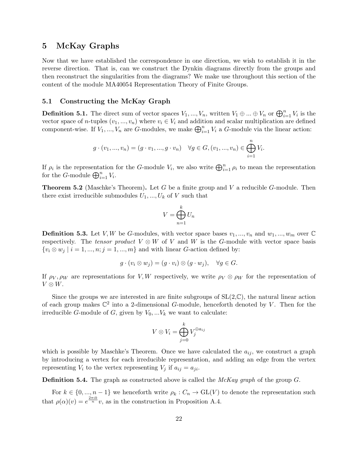### <span id="page-21-0"></span>5 McKay Graphs

Now that we have established the correspondence in one direction, we wish to establish it in the reverse direction. That is, can we construct the Dynkin diagrams directly from the groups and then reconstruct the singularities from the diagrams? We make use throughout this section of the content of the module MA40054 Representation Theory of Finite Groups.

#### <span id="page-21-1"></span>5.1 Constructing the McKay Graph

**Definition 5.1.** The direct sum of vector spaces  $V_1, ..., V_n$ , written  $V_1 \oplus ... \oplus V_n$  or  $\bigoplus_{i=1}^n V_i$  is the vector space of n-tuples  $(v_1, ..., v_n)$  where  $v_i \in V_i$  and addition and scalar multiplication are defined component-wise. If  $V_1, ..., V_n$  are G-modules, we make  $\bigoplus_{i=1}^n V_i$  a G-module via the linear action:

$$
g \cdot (v_1, ..., v_n) = (g \cdot v_1, ..., g \cdot v_n) \quad \forall g \in G, (v_1, ..., v_n) \in \bigoplus_{i=1}^n V_i.
$$

If  $\rho_i$  is the representation for the G-module  $V_i$ , we also write  $\bigoplus_{i=1}^n \rho_i$  to mean the representation for the *G*-module  $\bigoplus_{i=1}^{n} V_i$ .

**Theorem 5.2** (Maschke's Theorem). Let G be a finite group and V a reducible G-module. Then there exist irreducible submodules  $U_1, ..., U_k$  of V such that

$$
V = \bigoplus_{n=1}^{k} U_n
$$

**Definition 5.3.** Let V, W be G-modules, with vector space bases  $v_1, ..., v_n$  and  $w_1, ..., w_m$  over  $\mathbb{C}$ respectively. The tensor product  $V \otimes W$  of V and W is the G-module with vector space basis  $\{v_i \otimes w_j \mid i = 1, ..., n; j = 1, ..., m\}$  and with linear G-action defined by:

$$
g \cdot (v_i \otimes w_j) = (g \cdot v_i) \otimes (g \cdot w_j), \quad \forall g \in G.
$$

If  $\rho_V, \rho_W$  are representations for V, W respectively, we write  $\rho_V \otimes \rho_W$  for the representation of  $V \otimes W$ .

Since the groups we are interested in are finite subgroups of  $SL(2,\mathbb{C})$ , the natural linear action of each group makes  $\mathbb{C}^2$  into a 2-dimensional G-module, henceforth denoted by V. Then for the irreducible G-module of G, given by  $V_0, \ldots V_k$  we want to calculate:

$$
V \otimes V_i = \bigoplus_{j=0}^k V_j^{\oplus a_{ij}}
$$

which is possible by Maschke's Theorem. Once we have calculated the  $a_{ij}$ , we construct a graph by introducing a vertex for each irreducible representation, and adding an edge from the vertex representing  $V_i$  to the vertex representing  $V_j$  if  $a_{ij} = a_{ji}$ .

**Definition 5.4.** The graph as constructed above is called the  $McKay$  graph of the group  $G$ .

For  $k \in \{0, ..., n-1\}$  we henceforth write  $\rho_k : C_n \to GL(V)$  to denote the representation such that  $\rho(\alpha)(v) = e^{\frac{2\pi i k}{n}}v$ , as in the construction in Proposition A.4.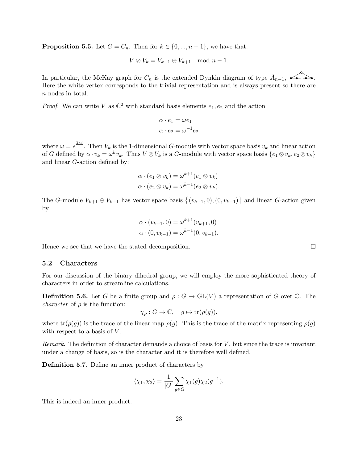**Proposition 5.5.** Let  $G = C_n$ . Then for  $k \in \{0, ..., n-1\}$ , we have that:

$$
V \otimes V_k = V_{k-1} \oplus V_{k+1} \mod n-1.
$$

In particular, the McKay graph for  $C_n$  is the extended Dynkin diagram of type  $\tilde{A}_{n-1}$ ,  $\longleftrightarrow$ . Here the white vertex corresponds to the trivial representation and is always present so there are n nodes in total.

*Proof.* We can write V as  $\mathbb{C}^2$  with standard basis elements  $e_1, e_2$  and the action

$$
\alpha \cdot e_1 = \omega e_1
$$

$$
\alpha \cdot e_2 = \omega^{-1} e_2
$$

where  $\omega = e^{\frac{2\pi i}{n}}$ . Then  $V_k$  is the 1-dimensional G-module with vector space basis  $v_k$  and linear action of G defined by  $\alpha \cdot v_k = \omega^k v_k$ . Thus  $V \otimes V_k$  is a G-module with vector space basis  $\{e_1 \otimes v_k, e_2 \otimes v_k\}$ and linear G-action defined by:

$$
\alpha \cdot (e_1 \otimes v_k) = \omega^{k+1} (e_1 \otimes v_k)
$$
  

$$
\alpha \cdot (e_2 \otimes v_k) = \omega^{k-1} (e_2 \otimes v_k).
$$

The G-module  $V_{k+1} \oplus V_{k-1}$  has vector space basis  $\{(v_{k+1}, 0), (0, v_{k-1})\}$  and linear G-action given by

$$
\alpha \cdot (v_{k+1}, 0) = \omega^{k+1}(v_{k+1}, 0)
$$
  

$$
\alpha \cdot (0, v_{k-1}) = \omega^{k-1}(0, v_{k-1}).
$$

Hence we see that we have the stated decomposition.

#### <span id="page-22-0"></span>5.2 Characters

For our discussion of the binary dihedral group, we will employ the more sophisticated theory of characters in order to streamline calculations.

**Definition 5.6.** Let G be a finite group and  $\rho: G \to GL(V)$  a representation of G over C. The *character* of  $\rho$  is the function:

$$
\chi_{\rho}: G \to \mathbb{C}, \quad g \mapsto \text{tr}(\rho(g)).
$$

where  $tr(\rho(g))$  is the trace of the linear map  $\rho(g)$ . This is the trace of the matrix representing  $\rho(g)$ with respect to a basis of  $V$ .

Remark. The definition of character demands a choice of basis for  $V$ , but since the trace is invariant under a change of basis, so is the character and it is therefore well defined.

Definition 5.7. Define an inner product of characters by

$$
\langle \chi_1, \chi_2 \rangle = \frac{1}{|G|} \sum_{g \in G} \chi_1(g) \chi_2(g^{-1}).
$$

This is indeed an inner product.

 $\Box$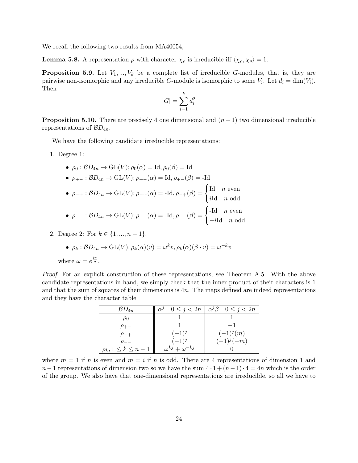We recall the following two results from MA40054;

**Lemma 5.8.** A representation  $\rho$  with character  $\chi_{\rho}$  is irreducible iff  $\langle \chi_{\rho}, \chi_{\rho} \rangle = 1$ .

**Proposition 5.9.** Let  $V_1, ..., V_k$  be a complete list of irreducible G-modules, that is, they are pairwise non-isomorphic and any irreducible G-module is isomorphic to some  $V_i$ . Let  $d_i = \dim(V_i)$ . Then

$$
|G| = \sum_{i=1}^k d_i^2
$$

**Proposition 5.10.** There are precisely 4 one dimensional and  $(n-1)$  two dimensional irreducible representations of  $BD_{4n}$ .

We have the following candidate irreducible representations:

1. Degree 1:

\n- \n
$$
\rho_0: BD_{4n} \to \text{GL}(V); \rho_0(\alpha) = \text{Id}, \rho_0(\beta) = \text{Id}
$$
\n
\n- \n
$$
\rho_{+-}: BD_{4n} \to \text{GL}(V); \rho_{+-}(\alpha) = \text{Id}, \rho_{+-}(\beta) = -\text{Id}
$$
\n
\n- \n
$$
\rho_{-+}: BD_{4n} \to \text{GL}(V); \rho_{-+}(\alpha) = -\text{Id}, \rho_{-+}(\beta) = \begin{cases} \text{Id} & n \text{ even} \\ \text{id} & n \text{ odd} \end{cases}
$$
\n
\n- \n
$$
\rho_{--}: BD_{4n} \to \text{GL}(V); \rho_{--}(\alpha) = -\text{Id}, \rho_{--}(\beta) = \begin{cases} -\text{Id} & n \text{ even} \\ -\text{id} & n \text{ odd} \end{cases}
$$
\n
\n

2. Degree 2: For  $k \in \{1, ..., n-1\}$ ,

• 
$$
\rho_k : BD_{4n} \to GL(V); \rho_k(\alpha)(v) = \omega^k v, \rho_k(\alpha)(\beta \cdot v) = \omega^{-k} v
$$

where 
$$
\omega = e^{\frac{i\pi}{n}}
$$
.

Proof. For an explicit construction of these representations, see Theorem A.5. With the above candidate representations in hand, we simply check that the inner product of their characters is 1 and that the sum of squares of their dimensions is  $4n$ . The maps defined are indeed representations and they have the character table

| $BD_{4n}$                   | $\alpha$                     | $0 \leq j < 2n \mid \alpha^{j}\beta \quad 0 \leq j < 2n$ |
|-----------------------------|------------------------------|----------------------------------------------------------|
| $\rho_0$                    |                              |                                                          |
| $\mu_{+-}$                  |                              |                                                          |
| $\rho_{-+}$                 | $(-1)^{j}$                   | $(-1)^{j}(m)$                                            |
|                             | $(-1)^{j}$                   | $(-1)^{j}(-m)$                                           |
| $\rho_k, 1 \leq k \leq n-1$ | $\omega^{kj} + \omega^{-kj}$ |                                                          |

where  $m = 1$  if n is even and  $m = i$  if n is odd. There are 4 representations of dimension 1 and  $n-1$  representations of dimension two so we have the sum  $4 \cdot 1 + (n-1) \cdot 4 = 4n$  which is the order of the group. We also have that one-dimensional representations are irreducible, so all we have to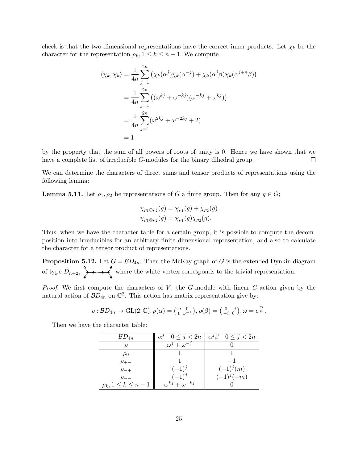check is that the two-dimensional representations have the correct inner products. Let  $\chi_k$  be the character for the representation  $\rho_k$ ,  $1 \leq k \leq n-1$ . We compute

$$
\langle \chi_k, \chi_k \rangle = \frac{1}{4n} \sum_{j=1}^{2n} \left( \chi_k(\alpha^j) \chi_k(\alpha^{-j}) + \chi_k(\alpha^j \beta) \chi_k(\alpha^{j+n} \beta) \right)
$$
  

$$
= \frac{1}{4n} \sum_{j=1}^{2n} \left( (\omega^{kj} + \omega^{-kj}) (\omega^{-kj} + \omega^{kj}) \right)
$$
  

$$
= \frac{1}{4n} \sum_{j=1}^{2n} (\omega^{2kj} + \omega^{-2kj} + 2)
$$
  

$$
= 1
$$

by the property that the sum of all powers of roots of unity is 0. Hence we have shown that we have a complete list of irreducible *G*-modules for the binary dihedral group.  $\Box$ 

We can determine the characters of direct sums and tensor products of representations using the following lemma:

**Lemma 5.11.** Let  $\rho_1, \rho_2$  be representations of G a finite group. Then for any  $g \in G$ ;

$$
\chi_{\rho_1 \oplus \rho_2}(g) = \chi_{\rho_1}(g) + \chi_{\rho_2}(g)
$$
  

$$
\chi_{\rho_1 \otimes \rho_2}(g) = \chi_{\rho_1}(g) \chi_{\rho_2}(g).
$$

Thus, when we have the character table for a certain group, it is possible to compute the decomposition into irreducibles for an arbitrary finite dimensional representation, and also to calculate the character for a tensor product of representations.

**Proposition 5.12.** Let  $G = \mathcal{B}D_{4n}$ . Then the McKay graph of G is the extended Dynkin diagram of type  $\tilde{D}_{n+2}$ ,  $\rightarrow$   $\rightarrow$  where the white vertex corresponds to the trivial representation.

*Proof.* We first compute the characters of  $V$ , the  $G$ -module with linear  $G$ -action given by the natural action of  $B\mathcal{D}_{4n}$  on  $\mathbb{C}^2$ . This action has matrix representation give by:

$$
\rho: BD_{4n} \to GL(2,\mathbb{C}), \rho(\alpha) = \left(\begin{smallmatrix} \omega & 0 \\ 0 & \omega^{-1} \end{smallmatrix}\right), \rho(\beta) = \left(\begin{smallmatrix} 0 & -i \\ -i & 0 \end{smallmatrix}\right), \omega = e^{\frac{\pi i}{n}}.
$$

Then we have the character table:

| $\mathcal{B}D_{4n}$         |                              | $\alpha^j \quad 0 \leq j < 2n \mid \alpha^j \beta \quad 0 \leq j < 2n$ |
|-----------------------------|------------------------------|------------------------------------------------------------------------|
|                             | $\omega^j + \omega^{-j}$     |                                                                        |
| $\rho_0$                    |                              |                                                                        |
| $\rho_{+-}$                 |                              |                                                                        |
| $\rho_{-+}$                 | $(-1)^{j}$                   | $(-1)^{j}(m)$                                                          |
|                             | $(-1)^{j}$                   | $(-1)^{j}(-m)$                                                         |
| $\rho_k, 1 \leq k \leq n-1$ | $\omega^{kj} + \omega^{-kj}$ |                                                                        |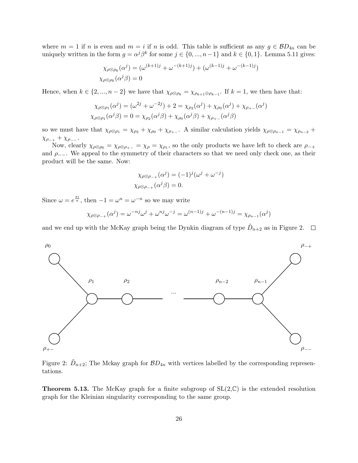where  $m = 1$  if n is even and  $m = i$  if n is odd. This table is sufficient as any  $g \in BD_{4n}$  can be uniquely written in the form  $g = \alpha^{j} \beta^{k}$  for some  $j \in \{0, ..., n-1\}$  and  $k \in \{0, 1\}$ . Lemma 5.11 gives:

$$
\chi_{\rho \otimes \rho_k}(\alpha^j) = (\omega^{(k+1)j} + \omega^{-(k+1)j}) + (\omega^{(k-1)j} + \omega^{-(k-1)j})
$$
  

$$
\chi_{\rho \otimes \rho_k}(\alpha^j \beta) = 0
$$

Hence, when  $k \in \{2, ..., n-2\}$  we have that  $\chi_{\rho \otimes \rho_k} = \chi_{\rho_{k+1} \oplus \rho_{k-1}}$ . If  $k = 1$ , we then have that:

$$
\chi_{\rho \otimes \rho_1}(\alpha^j) = (\omega^{2j} + \omega^{-2j}) + 2 = \chi_{\rho_2}(\alpha^j) + \chi_{\rho_0}(\alpha^j) + \chi_{\rho_{+-}}(\alpha^j)
$$
  

$$
\chi_{\rho \otimes \rho_1}(\alpha^j \beta) = 0 = \chi_{\rho_2}(\alpha^j \beta) + \chi_{\rho_0}(\alpha^j \beta) + \chi_{\rho_{+-}}(\alpha^j \beta)
$$

so we must have that  $\chi_{\rho\otimes\rho_1} = \chi_{\rho_2} + \chi_{\rho_0} + \chi_{\rho_{+-}}$ . A similar calculation yields  $\chi_{\rho\otimes\rho_{n-1}} = \chi_{\rho_{n-2}}$  $\chi_{\rho_{-+}} + \chi_{\rho_{--}}$ .

Now, clearly  $\chi_{\rho\otimes\rho_0} = \chi_{\rho\otimes\rho_{+-}} = \chi_{\rho} = \chi_{\rho_1}$ , so the only products we have left to check are  $\rho_{-+}$ and  $\rho$ <sub>−−</sub>. We appeal to the symmetry of their characters so that we need only check one, as their product will be the same. Now:

$$
\chi_{\rho \otimes \rho_{-+}}(\alpha^j) = (-1)^j (\omega^j + \omega^{-j})
$$
  

$$
\chi_{\rho \otimes \rho_{-+}}(\alpha^j \beta) = 0.
$$

Since  $\omega = e^{\frac{\pi i}{n}}$ , then  $-1 = \omega^n = \omega^{-n}$  so we may write

$$
\chi_{\rho \otimes \rho_{-+}}(\alpha^j) = \omega^{-nj} \omega^j + \omega^{nj} \omega^{-j} = \omega^{(n-1)j} + \omega^{-(n-1)j} = \chi_{\rho_{n-1}}(\alpha^j)
$$

and we end up with the McKay graph being the Dynkin diagram of type  $\tilde{D}_{n+2}$  as in Figure 2.



Figure 2:  $\tilde{D}_{n+2}$ ; The Mckay graph for  $\mathcal{B}D_{4n}$  with vertices labelled by the corresponding representations.

**Theorem 5.13.** The McKay graph for a finite subgroup of  $SL(2,\mathbb{C})$  is the extended resolution graph for the Kleinian singularity corresponding to the same group.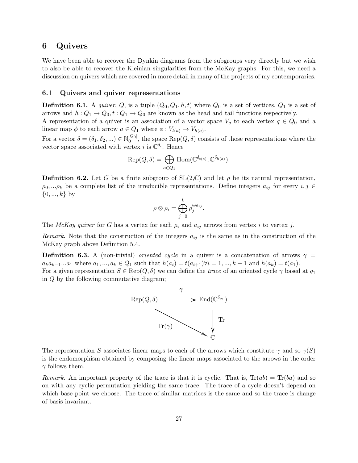#### <span id="page-26-0"></span>6 Quivers

We have been able to recover the Dynkin diagrams from the subgroups very directly but we wish to also be able to recover the Kleinian singularities from the McKay graphs. For this, we need a discussion on quivers which are covered in more detail in many of the projects of my contemporaries.

#### <span id="page-26-1"></span>6.1 Quivers and quiver representations

**Definition 6.1.** A *quiver*, Q, is a tuple  $(Q_0, Q_1, h, t)$  where  $Q_0$  is a set of vertices,  $Q_1$  is a set of arrows and  $h: Q_1 \to Q_0, t: Q_1 \to Q_0$  are known as the head and tail functions respectively.

A representation of a quiver is an association of a vector space  $V_q$  to each vertex  $q \in Q_0$  and a linear map  $\phi$  to each arrow  $a \in Q_1$  where  $\phi: V_{t(a)} \to V_{h(a)}$ .

For a vector  $\delta = (\delta_1, \delta_2, ...) \in \mathbb{N}_0^{|Q_0|}$  $\mathbb{Q}_0^{[Q_0]}$ , the space Rep $(Q, \delta)$  consists of those representations where the vector space associated with vertex *i* is  $\mathbb{C}^{\delta_i}$ . Hence

$$
Rep(Q, \delta) = \bigoplus_{a \in Q_1} Hom(\mathbb{C}^{\delta_{t(a)}}, \mathbb{C}^{\delta_{h(a)}}).
$$

**Definition 6.2.** Let G be a finite subgroup of  $SL(2,\mathbb{C})$  and let  $\rho$  be its natural representation,  $\rho_0, \ldots \rho_k$  be a complete list of the irreducible representations. Define integers  $a_{ij}$  for every  $i, j \in$  $\{0, ..., k\}$  by

$$
\rho \otimes \rho_i = \bigoplus_{j=0}^k \rho_j^{\oplus a_{ij}}.
$$

The McKay quiver for G has a vertex for each  $\rho_i$  and  $a_{ij}$  arrows from vertex i to vertex j.

*Remark.* Note that the construction of the integers  $a_{ij}$  is the same as in the construction of the McKay graph above Definition 5.4.

**Definition 6.3.** A (non-trivial) *oriented cycle* in a quiver is a concatenation of arrows  $\gamma$  =  $a_ka_{k-1}...a_1$  where  $a_1,...,a_k \in Q_1$  such that  $h(a_i) = t(a_{i+1}) \forall i = 1,...,k-1$  and  $h(a_k) = t(a_1)$ . For a given representation  $S \in \text{Rep}(Q, \delta)$  we can define the *trace* of an oriented cycle  $\gamma$  based at  $q_1$ in Q by the following commutative diagram;



The representation S associates linear maps to each of the arrows which constitute  $\gamma$  and so  $\gamma(S)$ is the endomorphism obtained by composing the linear maps associated to the arrows in the order  $\gamma$  follows them.

Remark. An important property of the trace is that it is cyclic. That is,  $Tr(ab) = Tr(ba)$  and so on with any cyclic permutation yielding the same trace. The trace of a cycle doesn't depend on which base point we choose. The trace of similar matrices is the same and so the trace is change of basis invariant.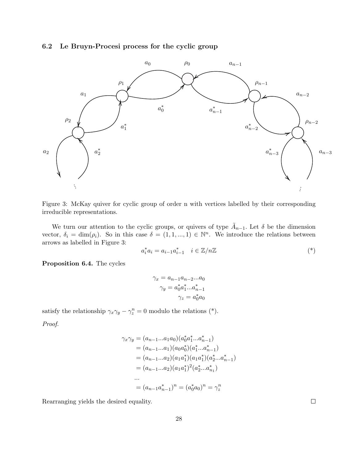#### <span id="page-27-0"></span>6.2 Le Bruyn-Procesi process for the cyclic group



Figure 3: McKay quiver for cyclic group of order n with vertices labelled by their corresponding irreducible representations.

We turn our attention to the cyclic groups, or quivers of type  $\tilde{A}_{n-1}$ . Let  $\delta$  be the dimension vector,  $\delta_i = \dim(\rho_i)$ . So in this case  $\delta = (1, 1, ..., 1) \in \mathbb{N}^n$ . We introduce the relations between arrows as labelled in Figure 3:

$$
a_i^* a_i = a_{i-1} a_{i-1}^* \quad i \in \mathbb{Z}/n\mathbb{Z}
$$
 (\*)

Proposition 6.4. The cycles

$$
\gamma_x = a_{n-1}a_{n-2}...a_0
$$

$$
\gamma_y = a_0^*a_1^*...a_{n-1}^*
$$

$$
\gamma_z = a_0^*a_0
$$

satisfy the relationship  $\gamma_x \gamma_y - \gamma_z^n = 0$  modulo the relations (\*).

Proof.

$$
\gamma_x \gamma_y = (a_{n-1}...a_1 a_0)(a_0^* a_1^*... a_{n-1}^*)
$$
  
\n
$$
= (a_{n-1}...a_1)(a_0 a_0^*)(a_1^*... a_{n-1}^*)
$$
  
\n
$$
= (a_{n-1}...a_2)(a_1 a_1^*)(a_1 a_1^*)(a_2^*... a_{n-1}^*)
$$
  
\n
$$
= (a_{n-1}...a_2)(a_1 a_1^*)^2(a_2^*... a_{n-1}^*)
$$
  
\n...  
\n
$$
= (a_{n-1} a_{n-1}^*)^n = (a_0^* a_0)^n = \gamma_z^n
$$

Rearranging yields the desired equality.

 $\Box$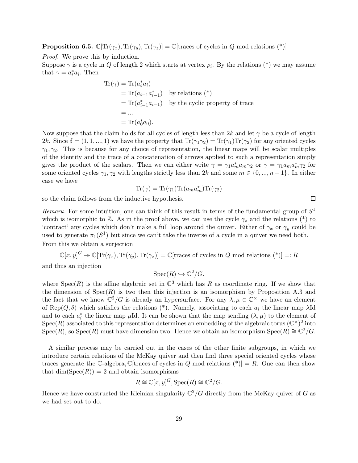**Proposition 6.5.**  $\mathbb{C}[\text{Tr}(\gamma_x), \text{Tr}(\gamma_y), \text{Tr}(\gamma_z)] = \mathbb{C}[\text{traces of cycles in } Q \text{ mod relations } (*)]$ 

Proof. We prove this by induction.

Suppose  $\gamma$  is a cycle in Q of length 2 which starts at vertex  $\rho_i$ . By the relations (\*) we may assume that  $\gamma = a_i^* a_i$ . Then

$$
\begin{aligned} \text{Tr}(\gamma) &= \text{Tr}(a_i^* a_i) \\ &= \text{Tr}(a_{i-1} a_{i-1}^*) \quad \text{by relations (*)} \\ &= \text{Tr}(a_{i-1}^* a_{i-1}) \quad \text{by the cyclic property of trace} \\ &= \dots \\ &= \text{Tr}(a_0^* a_0). \end{aligned}
$$

Now suppose that the claim holds for all cycles of length less than 2k and let  $\gamma$  be a cycle of length 2k. Since  $\delta = (1, 1, ..., 1)$  we have the property that  $\text{Tr}(\gamma_1 \gamma_2) = \text{Tr}(\gamma_1) \text{Tr}(\gamma_2)$  for any oriented cycles  $\gamma_1, \gamma_2$ . This is because for any choice of representation, the linear maps will be scalar multiples of the identity and the trace of a concatenation of arrows applied to such a representation simply gives the product of the scalars. Then we can either write  $\gamma = \gamma_1 a_m^* a_m \gamma_2$  or  $\gamma = \gamma_1 a_m a_m^* \gamma_2$  for some oriented cycles  $\gamma_1, \gamma_2$  with lengths strictly less than 2k and some  $m \in \{0, ..., n-1\}$ . In either case we have

$$
\text{Tr}(\gamma) = \text{Tr}(\gamma_1) \text{Tr}(a_m a_m^*) \text{Tr}(\gamma_2)
$$

so the claim follows from the inductive hypothesis.

Remark. For some intuition, one can think of this result in terms of the fundamental group of  $S<sup>1</sup>$ which is isomorphic to  $\mathbb{Z}$ . As in the proof above, we can use the cycle  $\gamma_z$  and the relations (\*) to 'contract' any cycles which don't make a full loop around the quiver. Either of  $\gamma_x$  or  $\gamma_y$  could be used to generate  $\pi_1(S^1)$  but since we can't take the inverse of a cycle in a quiver we need both. From this we obtain a surjection

$$
\mathbb{C}[x,y]^G \twoheadrightarrow \mathbb{C}[\text{Tr}(\gamma_x), \text{Tr}(\gamma_y), \text{Tr}(\gamma_z)] = \mathbb{C}[\text{traces of cycles in } Q \text{ mod relations } (*)] =: R
$$

and thus an injection

$$
Spec(R) \hookrightarrow \mathbb{C}^2/G.
$$

where  $Spec(R)$  is the affine algebraic set in  $\mathbb{C}^3$  which has R as coordinate ring. If we show that the dimension of  $Spec(R)$  is two then this injection is an isomorphism by Proposition A.3 and the fact that we know  $\mathbb{C}^2/G$  is already an hypersurface. For any  $\lambda, \mu \in \mathbb{C}^\times$  we have an element of Rep( $Q, \delta$ ) which satisfies the relations (\*). Namely, associating to each  $a_i$  the linear map  $\lambda$ Id and to each  $a_i^*$  the linear map  $\mu$ Id. It can be shown that the map sending  $(\lambda, \mu)$  to the element of Spec(R) associated to this representation determines an embedding of the algebraic torus  $(\mathbb{C}^{\times})^2$  into Spec(R), so Spec(R) must have dimension two. Hence we obtain an isomorphism Spec(R)  $\cong \mathbb{C}^2/G$ .

A similar process may be carried out in the cases of the other finite subgroups, in which we introduce certain relations of the McKay quiver and then find three special oriented cycles whose traces generate the C-algebra, C[traces of cycles in Q mod relations  $(*)$ ] = R. One can then show that  $\dim(\operatorname{Spec}(R)) = 2$  and obtain isomorphisms

$$
R \cong \mathbb{C}[x, y]^G, \operatorname{Spec}(R) \cong \mathbb{C}^2/G.
$$

Hence we have constructed the Kleinian singularity  $\mathbb{C}^2/G$  directly from the McKay quiver of G as we had set out to do.

 $\Box$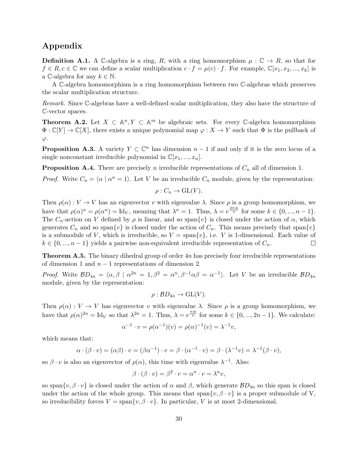# Appendix

**Definition A.1.** A C-algebra is a ring, R, with a ring homomorphism  $\mu : \mathbb{C} \to R$ , so that for  $f \in R, c \in \mathbb{C}$  we can define a scalar multiplication  $c \cdot f = \mu(c) \cdot f$ . For example,  $\mathbb{C}[x_1, x_2, ..., x_k]$  is a C-algebra for any  $k \in \mathbb{N}$ .

A C-algebra homomorphism is a ring homomorphism between two C-algebras which preserves the scalar multiplication structure.

Remark. Since C-algebras have a well-defined scalar multiplication, they also have the structure of C-vector spaces.

**Theorem A.2.** Let  $X \subset \mathbb{A}^n$ ,  $Y \subset \mathbb{A}^m$  be algebraic sets. For every C-algebra homomorphism  $\Phi : \mathbb{C}[Y] \to \mathbb{C}[X]$ , there exists a unique polynomial map  $\varphi : X \to Y$  such that  $\Phi$  is the pullback of  $\varphi$ .

**Proposition A.3.** A variety  $Y \subset \mathbb{C}^n$  has dimension  $n-1$  if and only if it is the zero locus of a single nonconstant irreducible polynomial in  $\mathbb{C}[x_1, ..., x_n]$ .

**Proposition A.4.** There are precisely n irreducible representations of  $C_n$  all of dimension 1.

*Proof.* Write  $C_n = \langle \alpha | \alpha^n = 1 \rangle$ . Let V be an irreducible  $C_n$  module, given by the representation:

$$
\rho: C_n \to \mathrm{GL}(V).
$$

Then  $\rho(\alpha): V \to V$  has an eigenvector v with eigenvalue  $\lambda$ . Since  $\rho$  is a group homomorphism, we have that  $\rho(\alpha)^n = \rho(\alpha^n) = \text{Id}_V$ , meaning that  $\lambda^n = 1$ . Thus,  $\lambda = e^{\frac{2\pi i k}{n}}$  for some  $k \in \{0, ..., n-1\}$ . The  $C_n$ -action on V defined by  $\rho$  is linear, and so span $\{v\}$  is closed under the action of  $\alpha$ , which generates  $C_n$  and so span $\{v\}$  is closed under the action of  $C_n$ . This means precisely that span $\{v\}$ is a submodule of V, which is irreducible, so  $V = \text{span}\{v\}$ , i.e. V is 1-dimensional. Each value of  $k \in \{0, ..., n-1\}$  yields a pairwise non-equivalent irreducible representation of  $C_n$ .  $\Box$ 

**Theorem A.5.** The binary dihedral group of order  $4n$  has precisely four irreducible representations of dimension 1 and  $n-1$  representations of dimension 2.

*Proof.* Write  $BD_{4n} = \langle \alpha, \beta | \alpha^{2n} = 1, \beta^2 = \alpha^n, \beta^{-1} \alpha \beta = \alpha^{-1} \rangle$ . Let V be an irreducible  $BD_{4n}$ module, given by the representation:

$$
\rho: BD_{4n} \to GL(V).
$$

Then  $\rho(\alpha): V \to V$  has eigenvector v with eigenvalue  $\lambda$ . Since  $\rho$  is a group homomorphism, we have that  $\rho(\alpha)^{2n} = \text{Id}_V$  so that  $\lambda^{2n} = 1$ . Thus,  $\lambda = e^{\frac{\pi i k}{n}}$  for some  $k \in \{0, ..., 2n-1\}$ . We calculate:

$$
\alpha^{-1} \cdot v = \rho(\alpha^{-1})(v) = \rho(\alpha)^{-1}(v) = \lambda^{-1}v,
$$

which means that:

$$
\alpha \cdot (\beta \cdot v) = (\alpha \beta) \cdot v = (\beta \alpha^{-1}) \cdot v = \beta \cdot (\alpha^{-1} \cdot v) = \beta \cdot (\lambda^{-1} v) = \lambda^{-1} (\beta \cdot v),
$$

so  $\beta \cdot v$  is also an eigenvector of  $\rho(\alpha)$ , this time with eigenvalue  $\lambda^{-1}$ . Also:

$$
\beta \cdot (\beta \cdot v) = \beta^2 \cdot v = \alpha^n \cdot v = \lambda^n v,
$$

so span $\{v, \beta \cdot v\}$  is closed under the action of  $\alpha$  and  $\beta$ , which generate  $BD_{4n}$  so this span is closed under the action of the whole group. This means that span $\{v, \beta \cdot v\}$  is a proper submodule of V, so irreducibility forces  $V = \text{span}\{v, \beta \cdot v\}$ . In particular, V is at most 2-dimensional.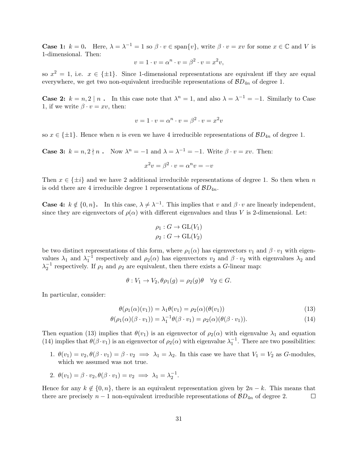**Case 1:**  $k = 0$ . Here,  $\lambda = \lambda^{-1} = 1$  so  $\beta \cdot v \in \text{span}\{v\}$ , write  $\beta \cdot v = xv$  for some  $x \in \mathbb{C}$  and V is 1-dimensional. Then:

$$
v = 1 \cdot v = \alpha^n \cdot v = \beta^2 \cdot v = x^2 v,
$$

so  $x^2 = 1$ , i.e.  $x \in {\pm 1}$ . Since 1-dimensional representations are equivalent iff they are equal everywhere, we get two non-equivalent irreducible representations of  $BD_{4n}$  of degree 1.

**Case 2:**  $k = n, 2 | n$ . In this case note that  $\lambda^n = 1$ , and also  $\lambda = \lambda^{-1} = -1$ . Similarly to Case 1, if we write  $\beta \cdot v = xv$ , then:

$$
v = 1 \cdot v = \alpha^n \cdot v = \beta^2 \cdot v = x^2 v
$$

so  $x \in \{\pm 1\}$ . Hence when n is even we have 4 irreducible representations of  $BD_{4n}$  of degree 1.

Case 3: 
$$
k = n, 2 \nmid n
$$
. Now  $\lambda^n = -1$  and  $\lambda = \lambda^{-1} = -1$ . Write  $\beta \cdot v = xv$ . Then:  

$$
x^2v = \beta^2 \cdot v = \alpha^n v = -v
$$

Then  $x \in \{\pm i\}$  and we have 2 additional irreducible representations of degree 1. So then when n is odd there are 4 irreducible degree 1 representations of  $BD_{4n}$ .

**Case 4:**  $k \notin \{0, n\}$ . In this case,  $\lambda \neq \lambda^{-1}$ . This implies that v and  $\beta \cdot v$  are linearly independent, since they are eigenvectors of  $\rho(\alpha)$  with different eigenvalues and thus V is 2-dimensional. Let:

$$
\rho_1: G \to \text{GL}(V_1)
$$
  

$$
\rho_2: G \to \text{GL}(V_2)
$$

be two distinct representations of this form, where  $\rho_1(\alpha)$  has eigenvectors  $v_1$  and  $\beta \cdot v_1$  with eigenvalues  $\lambda_1$  and  $\lambda_1^{-1}$  respectively and  $\rho_2(\alpha)$  has eigenvectors  $v_2$  and  $\beta \cdot v_2$  with eigenvalues  $\lambda_2$  and  $\lambda_2^{-1}$  respectively. If  $\rho_1$  and  $\rho_2$  are equivalent, then there exists a G-linear map:

$$
\theta: V_1 \to V_2, \theta \rho_1(g) = \rho_2(g)\theta \quad \forall g \in G.
$$

In particular, consider:

$$
\theta(\rho_1(\alpha)(v_1)) = \lambda_1 \theta(v_1) = \rho_2(\alpha)(\theta(v_1))
$$
\n(13)

$$
\theta(\rho_1(\alpha)(\beta \cdot v_1)) = \lambda_1^{-1} \theta(\beta \cdot v_1) = \rho_2(\alpha)(\theta(\beta \cdot v_1)).
$$
\n(14)

Then equation (13) implies that  $\theta(v_1)$  is an eigenvector of  $\rho_2(\alpha)$  with eigenvalue  $\lambda_1$  and equation (14) implies that  $\theta(\beta \cdot v_1)$  is an eigenvector of  $\rho_2(\alpha)$  with eigenvalue  $\lambda_1^{-1}$ . There are two possibilities:

- 1.  $\theta(v_1) = v_2, \theta(\beta \cdot v_1) = \beta \cdot v_2 \implies \lambda_1 = \lambda_2$ . In this case we have that  $V_1 = V_2$  as G-modules, which we assumed was not true.
- 2.  $\theta(v_1) = \beta \cdot v_2, \theta(\beta \cdot v_1) = v_2 \implies \lambda_1 = \lambda_2^{-1}.$

Hence for any  $k \notin \{0, n\}$ , there is an equivalent representation given by  $2n - k$ . This means that there are precisely  $n-1$  non-equivalent irreducible representations of  $BD_{4n}$  of degree 2.  $\Box$